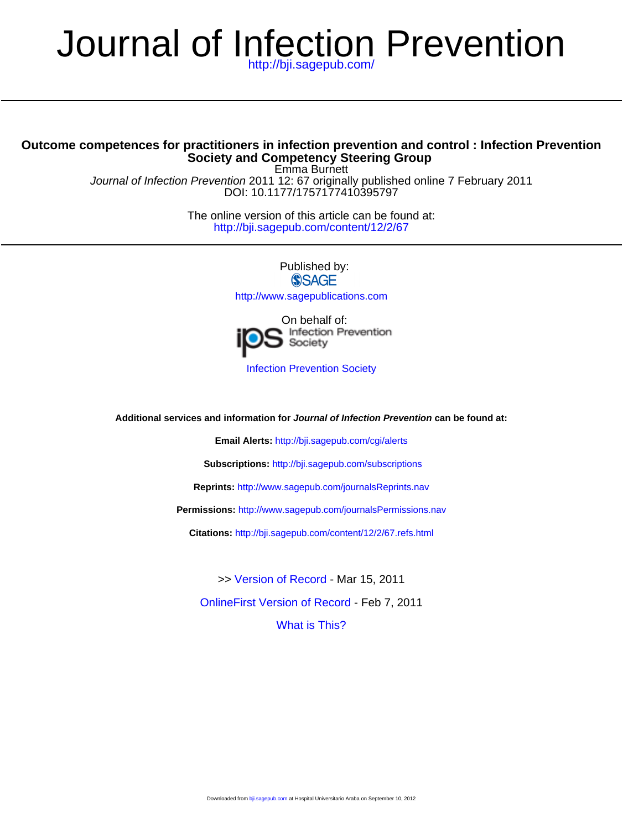### <http://bji.sagepub.com/> Journal of Infection Prevention

#### **Society and Competency Steering Group Outcome competences for practitioners in infection prevention and control : Infection Prevention**

Emma Burnett

DOI: 10.1177/1757177410395797 Journal of Infection Prevention 2011 12: 67 originally published online 7 February 2011

> <http://bji.sagepub.com/content/12/2/67> The online version of this article can be found at:

> > Published by: **SSAGE** <http://www.sagepublications.com>



[Infection Prevention Society](http://www.IPS.uk.net)

**Additional services and information for Journal of Infection Prevention can be found at:**

**Email Alerts:** <http://bji.sagepub.com/cgi/alerts>

**Subscriptions:** <http://bji.sagepub.com/subscriptions>

**Reprints:** <http://www.sagepub.com/journalsReprints.nav>

**Permissions:** <http://www.sagepub.com/journalsPermissions.nav>

**Citations:** <http://bji.sagepub.com/content/12/2/67.refs.html>

>> [Version of Record -](http://bji.sagepub.com/content/12/2/67.full.pdf) Mar 15, 2011

[OnlineFirst Version of Record](http://bji.sagepub.com/content/early/2011/02/07/1757177410395797.full.pdf) - Feb 7, 2011

[What is This?](http://online.sagepub.com/site/sphelp/vorhelp.xhtml)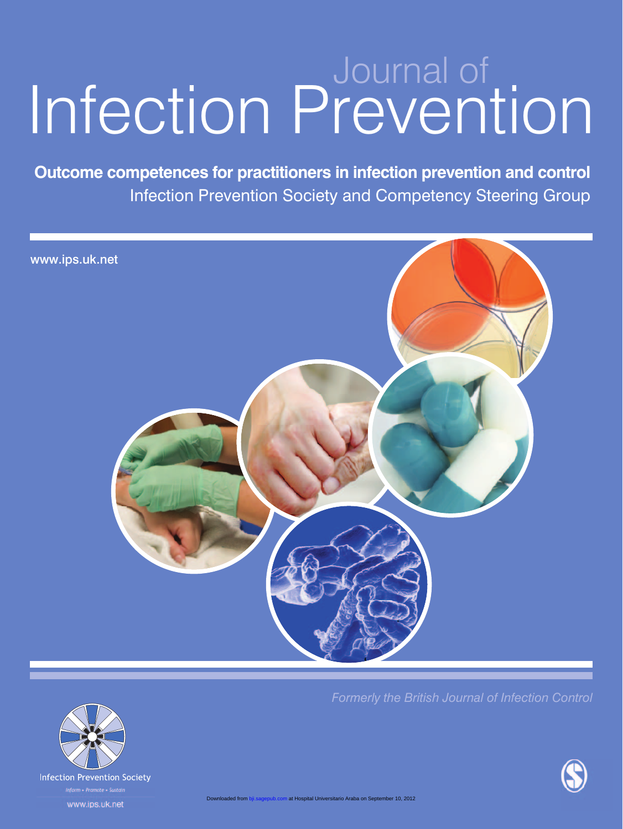# Infection Prevention Journal of

**Outcome competences for practitioners in infection prevention and control** Infection Prevention Society and Competency Steering Group



*Formerly the British Journal of Infection Control*



**Infection Prevention Society** 

www.ips.uk.net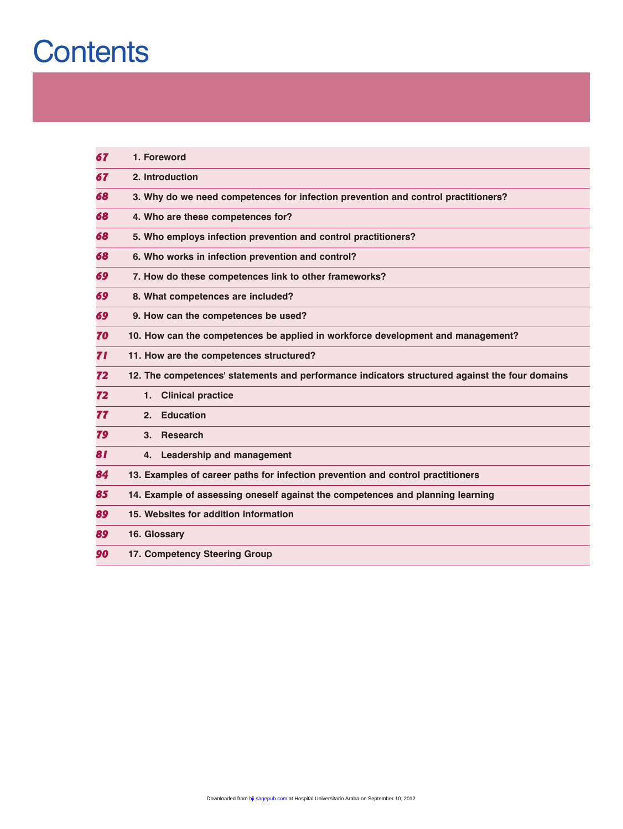## **Contents**

**College** 

| 67 | 1. Foreword                                                                                    |
|----|------------------------------------------------------------------------------------------------|
| 67 | 2. Introduction                                                                                |
| 68 | 3. Why do we need competences for infection prevention and control practitioners?              |
| 68 | 4. Who are these competences for?                                                              |
| 68 | 5. Who employs infection prevention and control practitioners?                                 |
| 68 | 6. Who works in infection prevention and control?                                              |
| 69 | 7. How do these competences link to other frameworks?                                          |
| 69 | 8. What competences are included?                                                              |
| 69 | 9. How can the competences be used?                                                            |
| 70 | 10. How can the competences be applied in workforce development and management?                |
| 71 | 11. How are the competences structured?                                                        |
| 72 | 12. The competences' statements and performance indicators structured against the four domains |
| 72 | <b>Clinical practice</b><br>1.                                                                 |
| 77 | <b>Education</b><br>2.                                                                         |
| 79 | Research<br>3.                                                                                 |
| 81 | 4. Leadership and management                                                                   |
| 84 | 13. Examples of career paths for infection prevention and control practitioners                |
| 85 | 14. Example of assessing oneself against the competences and planning learning                 |
| 89 | 15. Websites for addition information                                                          |
| 89 | 16. Glossary                                                                                   |
| 90 | 17. Competency Steering Group                                                                  |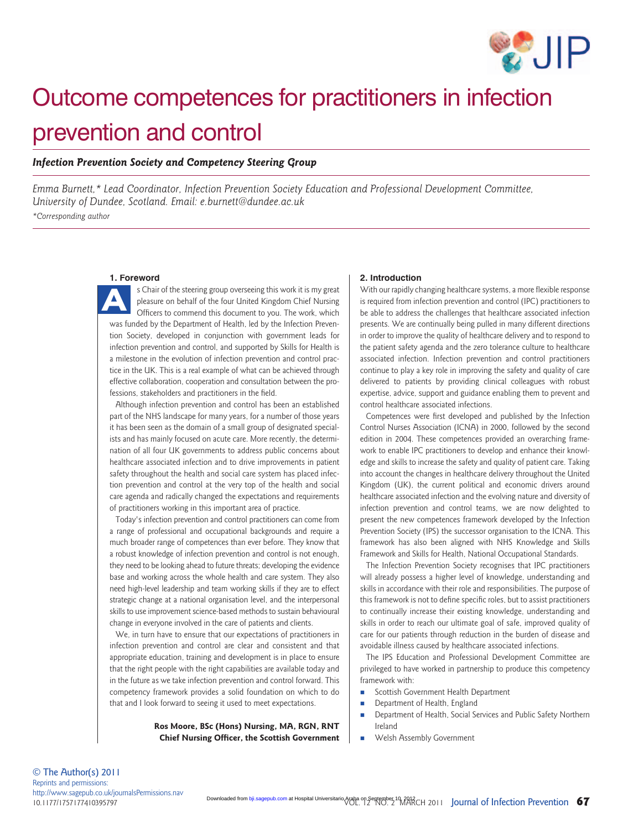

### Outcome competences for practitioners in infection prevention and control

#### *Infection Prevention Society and Competency Steering Group*

*Emma Burnett,\* Lead Coordinator, Infection Prevention Society Education and Professional Development Committee, University of Dundee, Scotland. Email: e.burnett@dundee.ac.uk*

*\* Corresponding author* 

#### **1. Foreword**

s Chair of the steering group overseeing this work it is my great pleasure on behalf of the four United Kingdom Chief Nursing Officers to commend this document to you. The work, which was funded by the Department of Health, led by the Infection Prevention Society, developed in conjunction with government leads for infection prevention and control, and supported by Skills for Health is a milestone in the evolution of infection prevention and control practice in the UK. This is a real example of what can be achieved through effective collaboration, cooperation and consultation between the professions, stakeholders and practitioners in the field. **A**

 Although infection prevention and control has been an established part of the NHS landscape for many years, for a number of those years it has been seen as the domain of a small group of designated specialists and has mainly focused on acute care. More recently, the determination of all four UK governments to address public concerns about healthcare associated infection and to drive improvements in patient safety throughout the health and social care system has placed infection prevention and control at the very top of the health and social care agenda and radically changed the expectations and requirements of practitioners working in this important area of practice.

 Today's infection prevention and control practitioners can come from a range of professional and occupational backgrounds and require a much broader range of competences than ever before. They know that a robust knowledge of infection prevention and control is not enough, they need to be looking ahead to future threats; developing the evidence base and working across the whole health and care system. They also need high-level leadership and team working skills if they are to effect strategic change at a national organisation level, and the interpersonal skills to use improvement science-based methods to sustain behavioural change in everyone involved in the care of patients and clients.

 We, in turn have to ensure that our expectations of practitioners in infection prevention and control are clear and consistent and that appropriate education, training and development is in place to ensure that the right people with the right capabilities are available today and in the future as we take infection prevention and control forward. This competency framework provides a solid foundation on which to do that and I look forward to seeing it used to meet expectations.

> **Ros Moore, BSc (Hons) Nursing, MA, RGN, RNT Chief Nursing Officer, the Scottish Government**

#### **2. Introduction**

With our rapidly changing healthcare systems, a more flexible response is required from infection prevention and control (IPC) practitioners to be able to address the challenges that healthcare associated infection presents. We are continually being pulled in many different directions in order to improve the quality of healthcare delivery and to respond to the patient safety agenda and the zero tolerance culture to healthcare associated infection. Infection prevention and control practitioners continue to play a key role in improving the safety and quality of care delivered to patients by providing clinical colleagues with robust expertise, advice, support and guidance enabling them to prevent and control healthcare associated infections.

Competences were first developed and published by the Infection Control Nurses Association (ICNA) in 2000, followed by the second edition in 2004. These competences provided an overarching framework to enable IPC practitioners to develop and enhance their knowledge and skills to increase the safety and quality of patient care. Taking into account the changes in healthcare delivery throughout the United Kingdom (UK), the current political and economic drivers around healthcare associated infection and the evolving nature and diversity of infection prevention and control teams, we are now delighted to present the new competences framework developed by the Infection Prevention Society (IPS) the successor organisation to the ICNA. This framework has also been aligned with NHS Knowledge and Skills Framework and Skills for Health, National Occupational Standards.

The Infection Prevention Society recognises that IPC practitioners will already possess a higher level of knowledge, understanding and skills in accordance with their role and responsibilities. The purpose of this framework is not to define specific roles, but to assist practitioners to continually increase their existing knowledge, understanding and skills in order to reach our ultimate goal of safe, improved quality of care for our patients through reduction in the burden of disease and avoidable illness caused by healthcare associated infections.

The IPS Education and Professional Development Committee are privileged to have worked in partnership to produce this competency framework with:

- **Scottish Government Health Department**
- Department of Health, England
- **Department of Health, Social Services and Public Safety Northern** Ireland
- Welsh Assembly Government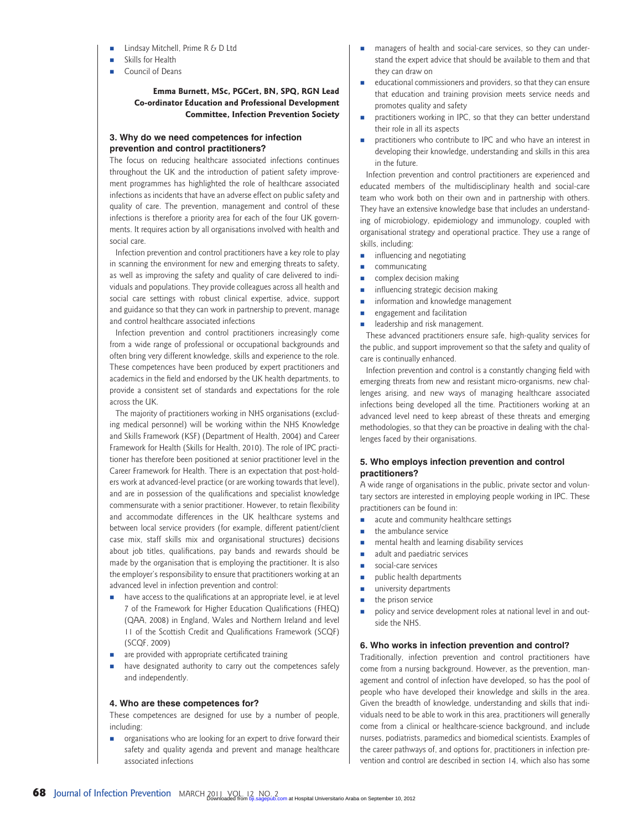- $\blacksquare$  Lindsay Mitchell, Prime R & D Ltd
- Skills for Health
- Council of Deans

#### **Emma Burnett, MSc, PGCert, BN, SPQ, RGN Lead Co-ordinator Education and Professional Development Committee, Infection Prevention Society**

#### **3. Why do we need competences for infection prevention and control practitioners?**

The focus on reducing healthcare associated infections continues throughout the UK and the introduction of patient safety improvement programmes has highlighted the role of healthcare associated infections as incidents that have an adverse effect on public safety and quality of care. The prevention, management and control of these infections is therefore a priority area for each of the four UK governments. It requires action by all organisations involved with health and social care.

 Infection prevention and control practitioners have a key role to play in scanning the environment for new and emerging threats to safety, as well as improving the safety and quality of care delivered to individuals and populations. They provide colleagues across all health and social care settings with robust clinical expertise, advice, support and guidance so that they can work in partnership to prevent, manage and control healthcare associated infections

 Infection prevention and control practitioners increasingly come from a wide range of professional or occupational backgrounds and often bring very different knowledge, skills and experience to the role. These competences have been produced by expert practitioners and academics in the field and endorsed by the UK health departments, to provide a consistent set of standards and expectations for the role across the UK.

 The majority of practitioners working in NHS organisations (excluding medical personnel) will be working within the NHS Knowledge and Skills Framework (KSF) (Department of Health, 2004) and Career Framework for Health (Skills for Health, 2010). The role of IPC practitioner has therefore been positioned at senior practitioner level in the Career Framework for Health. There is an expectation that post-holders work at advanced-level practice (or are working towards that level), and are in possession of the qualifications and specialist knowledge commensurate with a senior practitioner. However, to retain flexibility and accommodate differences in the UK healthcare systems and between local service providers (for example, different patient/client case mix, staff skills mix and organisational structures) decisions about job titles, qualifications, pay bands and rewards should be made by the organisation that is employing the practitioner. It is also the employer's responsibility to ensure that practitioners working at an advanced level in infection prevention and control:

- have access to the qualifications at an appropriate level, ie at level 7 of the Framework for Higher Education Qualifications (FHEQ) (QAA, 2008) in England, Wales and Northern Ireland and level 11 of the Scottish Credit and Qualifications Framework (SCQF) ( SCQF, 2009 )
- $\blacksquare$  are provided with appropriate certificated training
- have designated authority to carry out the competences safely and independently.

#### **4. Who are these competences for?**

These competences are designed for use by a number of people, including:

 organisations who are looking for an expert to drive forward their safety and quality agenda and prevent and manage healthcare associated infections

- managers of health and social-care services, so they can understand the expert advice that should be available to them and that they can draw on
- educational commissioners and providers, so that they can ensure that education and training provision meets service needs and promotes quality and safety
- **n** practitioners working in IPC, so that they can better understand their role in all its aspects
- practitioners who contribute to IPC and who have an interest in developing their knowledge, understanding and skills in this area in the future.

Infection prevention and control practitioners are experienced and educated members of the multidisciplinary health and social-care team who work both on their own and in partnership with others. They have an extensive knowledge base that includes an understanding of microbiology, epidemiology and immunology, coupled with organisational strategy and operational practice. They use a range of skills, including:

- $\blacksquare$  influencing and negotiating
- communicating
- complex decision making
- influencing strategic decision making
- **n** information and knowledge management
- engagement and facilitation
- leadership and risk management.

These advanced practitioners ensure safe, high-quality services for the public, and support improvement so that the safety and quality of care is continually enhanced.

Infection prevention and control is a constantly changing field with emerging threats from new and resistant micro-organisms, new challenges arising, and new ways of managing healthcare associated infections being developed all the time. Practitioners working at an advanced level need to keep abreast of these threats and emerging methodologies, so that they can be proactive in dealing with the challenges faced by their organisations.

#### **5. Who employs infection prevention and control practitioners?**

A wide range of organisations in the public, private sector and voluntary sectors are interested in employing people working in IPC. These practitioners can be found in:

- acute and community healthcare settings
- **the ambulance service**
- mental health and learning disability services
- adult and paediatric services
- social-care services
- public health departments
- university departments
- the prison service
- **policy and service development roles at national level in and out**side the NHS.

#### **6. Who works in infection prevention and control?**

Traditionally, infection prevention and control practitioners have come from a nursing background. However, as the prevention, management and control of infection have developed, so has the pool of people who have developed their knowledge and skills in the area. Given the breadth of knowledge, understanding and skills that individuals need to be able to work in this area, practitioners will generally come from a clinical or healthcare-science background, and include nurses, podiatrists, paramedics and biomedical scientists. Examples of the career pathways of, and options for, practitioners in infection prevention and control are described in section 14, which also has some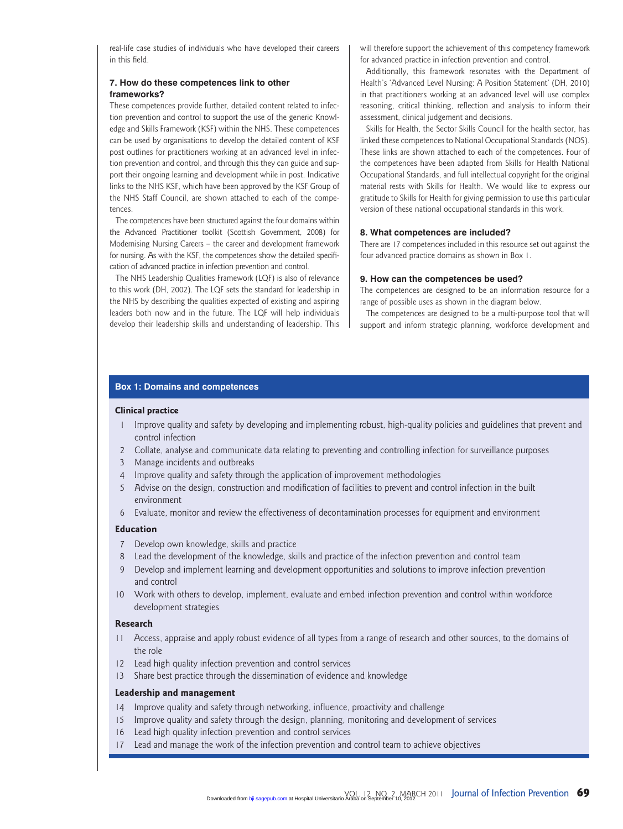real-life case studies of individuals who have developed their careers in this field.

#### **7. How do these competences link to other frameworks?**

These competences provide further, detailed content related to infection prevention and control to support the use of the generic Knowledge and Skills Framework (KSF) within the NHS . These competences can be used by organisations to develop the detailed content of KSF post outlines for practitioners working at an advanced level in infection prevention and control, and through this they can guide and support their ongoing learning and development while in post. Indicative links to the NHS KSF, which have been approved by the KSF Group of the NHS Staff Council, are shown attached to each of the competences.

 The competences have been structured against the four domains within the Advanced Practitioner toolkit (Scottish Government, 2008) for Modernising Nursing Careers – the career and development framework for nursing. As with the KSF, the competences show the detailed specification of advanced practice in infection prevention and control.

 The NHS Leadership Qualities Framework (LQF) is also of relevance to this work (DH, 2002). The LQF sets the standard for leadership in the NHS by describing the qualities expected of existing and aspiring leaders both now and in the future. The LQF will help individuals develop their leadership skills and understanding of leadership. This will therefore support the achievement of this competency framework for advanced practice in infection prevention and control.

Additionally, this framework resonates with the Department of Health's 'Advanced Level Nursing: A Position Statement' ( DH, 2010 ) in that practitioners working at an advanced level will use complex reasoning, critical thinking, reflection and analysis to inform their assessment, clinical judgement and decisions.

Skills for Health, the Sector Skills Council for the health sector, has linked these competences to National Occupational Standards (NOS). These links are shown attached to each of the competences. Four of the competences have been adapted from Skills for Health National Occupational Standards, and full intellectual copyright for the original material rests with Skills for Health. We would like to express our gratitude to Skills for Health for giving permission to use this particular version of these national occupational standards in this work.

#### **8. What competences are included?**

There are 17 competences included in this resource set out against the four advanced practice domains as shown in Box 1.

#### **9. How can the competences be used?**

The competences are designed to be an information resource for a range of possible uses as shown in the diagram below.

The competences are designed to be a multi-purpose tool that will support and inform strategic planning, workforce development and

#### **Box 1: Domains and competences**

#### **Clinical practice**

- 1 Improve quality and safety by developing and implementing robust, high-quality policies and guidelines that prevent and control infection
- 2 Collate, analyse and communicate data relating to preventing and controlling infection for surveillance purposes
- 3 Manage incidents and outbreaks
- 4 Improve quality and safety through the application of improvement methodologies
- 5 Advise on the design, construction and modification of facilities to prevent and control infection in the built environment
- 6 Evaluate, monitor and review the effectiveness of decontamination processes for equipment and environment

#### **Education**

- 7 Develop own knowledge, skills and practice
- 8 Lead the development of the knowledge, skills and practice of the infection prevention and control team
- 9 Develop and implement learning and development opportunities and solutions to improve infection prevention and control
- 10 Work with others to develop, implement, evaluate and embed infection prevention and control within workforce development strategies

#### **Research**

- 11 Access, appraise and apply robust evidence of all types from a range of research and other sources, to the domains of the role
- 12 Lead high quality infection prevention and control services
- 13 Share best practice through the dissemination of evidence and knowledge

#### **Leadership and management**

- 14 Improve quality and safety through networking, influence, proactivity and challenge
- 15 Improve quality and safety through the design, planning, monitoring and development of services
- 16 Lead high quality infection prevention and control services
- 17 Lead and manage the work of the infection prevention and control team to achieve objectives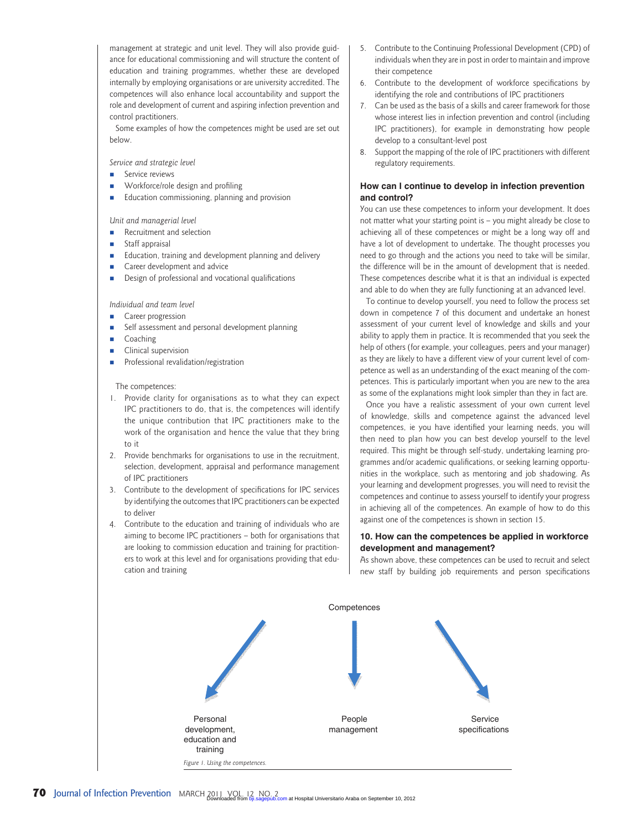management at strategic and unit level. They will also provide guidance for educational commissioning and will structure the content of education and training programmes, whether these are developed internally by employing organisations or are university accredited. The competences will also enhance local accountability and support the role and development of current and aspiring infection prevention and control practitioners.

 Some examples of how the competences might be used are set out below.

*Service and strategic level*

- **Service reviews**
- Workforce/role design and profiling
- **Education commissioning, planning and provision**

#### *Unit and managerial level*

- Recruitment and selection
- Staff appraisal
- **Education, training and development planning and delivery**
- Career development and advice
- $\blacksquare$  Design of professional and vocational qualifications

#### *Individual and team level*

- **Career progression**
- Self assessment and personal development planning
- **Coaching**
- Clinical supervision
- Professional revalidation/registration

#### The competences:

- 1. Provide clarity for organisations as to what they can expect IPC practitioners to do, that is, the competences will identify the unique contribution that IPC practitioners make to the work of the organisation and hence the value that they bring to it
- 2. Provide benchmarks for organisations to use in the recruitment, selection, development, appraisal and performance management of IPC practitioners
- 3. Contribute to the development of specifications for IPC services by identifying the outcomes that IPC practitioners can be expected to deliver
- 4. Contribute to the education and training of individuals who are aiming to become IPC practitioners – both for organisations that are looking to commission education and training for practitioners to work at this level and for organisations providing that education and training
- 5. Contribute to the Continuing Professional Development (CPD) of individuals when they are in post in order to maintain and improve their competence
- 6. Contribute to the development of workforce specifications by identifying the role and contributions of IPC practitioners
- 7. Can be used as the basis of a skills and career framework for those whose interest lies in infection prevention and control (including IPC practitioners), for example in demonstrating how people develop to a consultant-level post
- 8. Support the mapping of the role of IPC practitioners with different regulatory requirements.

#### **How can I continue to develop in infection prevention and control?**

You can use these competences to inform your development. It does not matter what your starting point is – you might already be close to achieving all of these competences or might be a long way off and have a lot of development to undertake. The thought processes you need to go through and the actions you need to take will be similar, the difference will be in the amount of development that is needed. These competences describe what it is that an individual is expected and able to do when they are fully functioning at an advanced level.

To continue to develop yourself, you need to follow the process set down in competence 7 of this document and undertake an honest assessment of your current level of knowledge and skills and your ability to apply them in practice. It is recommended that you seek the help of others (for example, your colleagues, peers and your manager) as they are likely to have a different view of your current level of competence as well as an understanding of the exact meaning of the competences. This is particularly important when you are new to the area as some of the explanations might look simpler than they in fact are.

Once you have a realistic assessment of your own current level of knowledge, skills and competence against the advanced level competences, ie you have identified your learning needs, you will then need to plan how you can best develop yourself to the level required. This might be through self-study, undertaking learning programmes and/or academic qualifications, or seeking learning opportunities in the workplace, such as mentoring and job shadowing. As your learning and development progresses, you will need to revisit the competences and continue to assess yourself to identify your progress in achieving all of the competences. An example of how to do this against one of the competences is shown in section 15.

#### **10. How can the competences be applied in workforce development and management?**

As shown above, these competences can be used to recruit and select new staff by building job requirements and person specifications

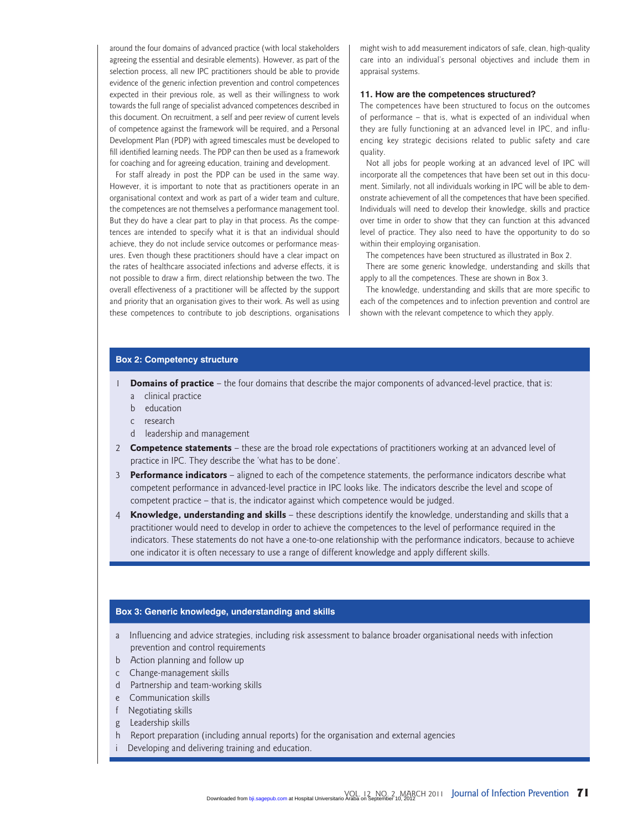around the four domains of advanced practice (with local stakeholders agreeing the essential and desirable elements). However, as part of the selection process, all new IPC practitioners should be able to provide evidence of the generic infection prevention and control competences expected in their previous role, as well as their willingness to work towards the full range of specialist advanced competences described in this document. On recruitment, a self and peer review of current levels of competence against the framework will be required, and a Personal Development Plan (PDP) with agreed timescales must be developed to fill identified learning needs. The PDP can then be used as a framework for coaching and for agreeing education, training and development.

 For staff already in post the PDP can be used in the same way. However, it is important to note that as practitioners operate in an organisational context and work as part of a wider team and culture, the competences are not themselves a performance management tool. But they do have a clear part to play in that process. As the competences are intended to specify what it is that an individual should achieve, they do not include service outcomes or performance measures. Even though these practitioners should have a clear impact on the rates of healthcare associated infections and adverse effects, it is not possible to draw a firm, direct relationship between the two. The overall effectiveness of a practitioner will be affected by the support and priority that an organisation gives to their work. As well as using these competences to contribute to job descriptions, organisations might wish to add measurement indicators of safe, clean, high-quality care into an individual's personal objectives and include them in appraisal systems.

#### **11. How are the competences structured?**

The competences have been structured to focus on the outcomes of performance – that is, what is expected of an individual when they are fully functioning at an advanced level in IPC, and influencing key strategic decisions related to public safety and care quality.

Not all jobs for people working at an advanced level of IPC will incorporate all the competences that have been set out in this document. Similarly, not all individuals working in IPC will be able to demonstrate achievement of all the competences that have been specified. Individuals will need to develop their knowledge, skills and practice over time in order to show that they can function at this advanced level of practice. They also need to have the opportunity to do so within their employing organisation.

The competences have been structured as illustrated in Box 2.

There are some generic knowledge, understanding and skills that apply to all the competences. These are shown in Box 3.

The knowledge, understanding and skills that are more specific to each of the competences and to infection prevention and control are shown with the relevant competence to which they apply.

#### **Box 2: Competency structure**

- 1 **Domains of practice** the four domains that describe the major components of advanced-level practice, that is:
	- a clinical practice
	- b education
	- c research
	- d leadership and management
- 2 **Competence statements** these are the broad role expectations of practitioners working at an advanced level of practice in IPC. They describe the 'what has to be done'.
- 3 **Performance indicators** aligned to each of the competence statements, the performance indicators describe what competent performance in advanced-level practice in IPC looks like. The indicators describe the level and scope of competent practice – that is, the indicator against which competence would be judged.
- 4 **Knowledge, understanding and skills** these descriptions identify the knowledge, understanding and skills that a practitioner would need to develop in order to achieve the competences to the level of performance required in the indicators. These statements do not have a one-to-one relationship with the performance indicators, because to achieve one indicator it is often necessary to use a range of different knowledge and apply different skills.

#### **Box 3: Generic knowledge, understanding and skills**

- a Influencing and advice strategies, including risk assessment to balance broader organisational needs with infection prevention and control requirements
- b Action planning and follow up
- c Change-management skills
- d Partnership and team-working skills
- e Communication skills
- f Negotiating skills
- g Leadership skills
- h Report preparation (including annual reports) for the organisation and external agencies
- i Developing and delivering training and education.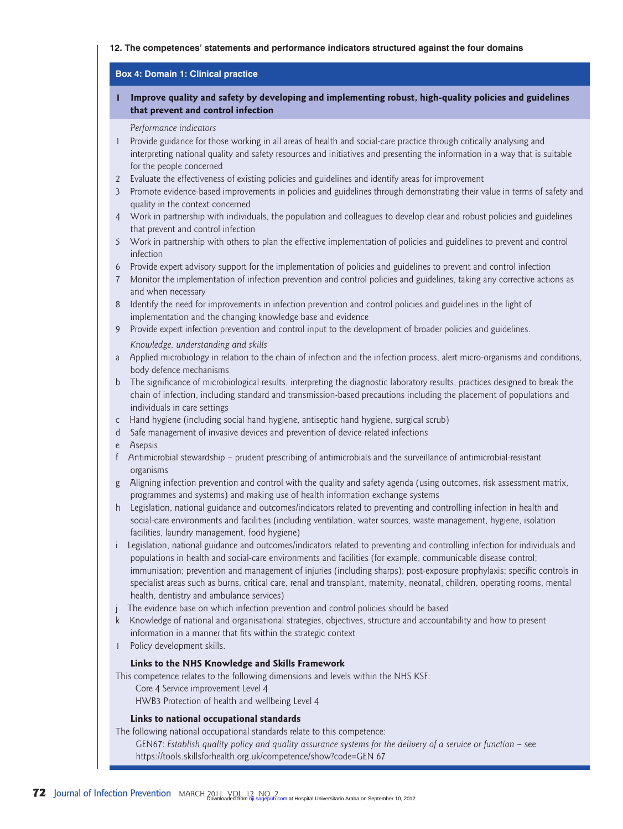#### **12. The competences' statements and performance indicators structured against the four domains**

#### **Box 4: Domain 1: Clinical practice**

**1 Improve quality and safety by developing and implementing robust, high-quality policies and guidelines that prevent and control infection**

#### *Performance indicators*

- 1 Provide guidance for those working in all areas of health and social-care practice through critically analysing and interpreting national quality and safety resources and initiatives and presenting the information in a way that is suitable for the people concerned
- 2 Evaluate the effectiveness of existing policies and guidelines and identify areas for improvement
- 3 Promote evidence-based improvements in policies and guidelines through demonstrating their value in terms of safety and quality in the context concerned
- 4 Work in partnership with individuals, the population and colleagues to develop clear and robust policies and guidelines that prevent and control infection
- 5 Work in partnership with others to plan the effective implementation of policies and guidelines to prevent and control infection
- 6 Provide expert advisory support for the implementation of policies and guidelines to prevent and control infection
- 7 Monitor the implementation of infection prevention and control policies and guidelines, taking any corrective actions as and when necessary
- 8 Identify the need for improvements in infection prevention and control policies and guidelines in the light of implementation and the changing knowledge base and evidence
- 9 Provide expert infection prevention and control input to the development of broader policies and guidelines. *Knowledge, understanding and skills*
- a Applied microbiology in relation to the chain of infection and the infection process, alert micro-organisms and conditions, body defence mechanisms
- b The significance of microbiological results, interpreting the diagnostic laboratory results, practices designed to break the chain of infection, including standard and transmission-based precautions including the placement of populations and individuals in care settings
- c Hand hygiene (including social hand hygiene, antiseptic hand hygiene, surgical scrub)
- d Safe management of invasive devices and prevention of device-related infections
- e Asepsis
- f Antimicrobial stewardship prudent prescribing of antimicrobials and the surveillance of antimicrobial-resistant organisms
- g Aligning infection prevention and control with the quality and safety agenda (using outcomes, risk assessment matrix, programmes and systems) and making use of health information exchange systems
- h Legislation, national guidance and outcomes/indicators related to preventing and controlling infection in health and social-care environments and facilities (including ventilation, water sources, waste management, hygiene, isolation facilities, laundry management, food hygiene)

i Legislation, national guidance and outcomes/indicators related to preventing and controlling infection for individuals and populations in health and social-care environments and facilities (for example, communicable disease control; immunisation; prevention and management of injuries (including sharps); post-exposure prophylaxis; specific controls in specialist areas such as burns, critical care, renal and transplant, maternity, neonatal, children, operating rooms, mental health, dentistry and ambulance services)

- j The evidence base on which infection prevention and control policies should be based
- k Knowledge of national and organisational strategies, objectives, structure and accountability and how to present information in a manner that fits within the strategic context
- 1 Policy development skills.

#### **Links to the NHS Knowledge and Skills Framework**

This competence relates to the following dimensions and levels within the NHS KSF:

Core 4 Service improvement Level 4

HWB3 Protection of health and wellbeing Level 4

#### **Links to national occupational standards**

The following national occupational standards relate to this competence:

 GEN67: *Establish quality policy and quality assurance systems for the delivery of a service or function* – see https://tools.skillsforhealth.org.uk/competence/show?code=GEN 67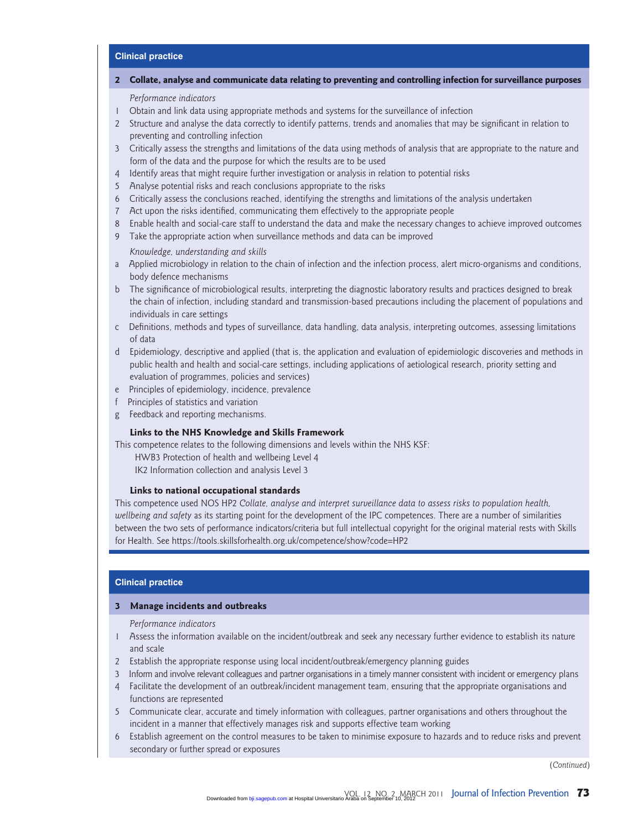#### **Clinical practice**

#### **2 Collate, analyse and communicate data relating to preventing and controlling infection for surveillance purposes**

#### *Performance indicators*

- 1 Obtain and link data using appropriate methods and systems for the surveillance of infection
- 2 Structure and analyse the data correctly to identify patterns, trends and anomalies that may be significant in relation to preventing and controlling infection
- 3 Critically assess the strengths and limitations of the data using methods of analysis that are appropriate to the nature and form of the data and the purpose for which the results are to be used
- 4 Identify areas that might require further investigation or analysis in relation to potential risks
- 5 Analyse potential risks and reach conclusions appropriate to the risks
- 6 Critically assess the conclusions reached, identifying the strengths and limitations of the analysis undertaken
- 7 Act upon the risks identified, communicating them effectively to the appropriate people
- 8 Enable health and social-care staff to understand the data and make the necessary changes to achieve improved outcomes
- 9 Take the appropriate action when surveillance methods and data can be improved

*Knowledge, understanding and skills*

- a Applied microbiology in relation to the chain of infection and the infection process, alert micro-organisms and conditions, body defence mechanisms
- b The significance of microbiological results, interpreting the diagnostic laboratory results and practices designed to break the chain of infection, including standard and transmission-based precautions including the placement of populations and individuals in care settings
- c Definitions, methods and types of surveillance, data handling, data analysis, interpreting outcomes, assessing limitations of data
- d Epidemiology, descriptive and applied (that is, the application and evaluation of epidemiologic discoveries and methods in public health and health and social-care settings, including applications of aetiological research, priority setting and evaluation of programmes, policies and services)
- e Principles of epidemiology, incidence, prevalence
- f Principles of statistics and variation
- g Feedback and reporting mechanisms.

#### **Links to the NHS Knowledge and Skills Framework**

This competence relates to the following dimensions and levels within the NHS KSF:

HWB3 Protection of health and wellbeing Level 4

IK2 Information collection and analysis Level 3

#### **Links to national occupational standards**

This competence used NOS HP2 *Collate, analyse and interpret surveillance data to assess risks to population health, wellbeing and safety* as its starting point for the development of the IPC competences. There are a number of similarities between the two sets of performance indicators/criteria but full intellectual copyright for the original material rests with Skills for Health. See https://tools.skillsforhealth.org.uk/competence/show?code=HP2

#### **Clinical practice**

#### **3 Manage incidents and outbreaks**

*Performance indicators*

- 1 Assess the information available on the incident/outbreak and seek any necessary further evidence to establish its nature and scale
- 2 Establish the appropriate response using local incident/outbreak/emergency planning guides
- 3 Inform and involve relevant colleagues and partner organisations in a timely manner consistent with incident or emergency plans
- 4 Facilitate the development of an outbreak/incident management team, ensuring that the appropriate organisations and functions are represented
- 5 Communicate clear, accurate and timely information with colleagues, partner organisations and others throughout the incident in a manner that effectively manages risk and supports effective team working
- 6 Establish agreement on the control measures to be taken to minimise exposure to hazards and to reduce risks and prevent secondary or further spread or exposures

(*Continued*)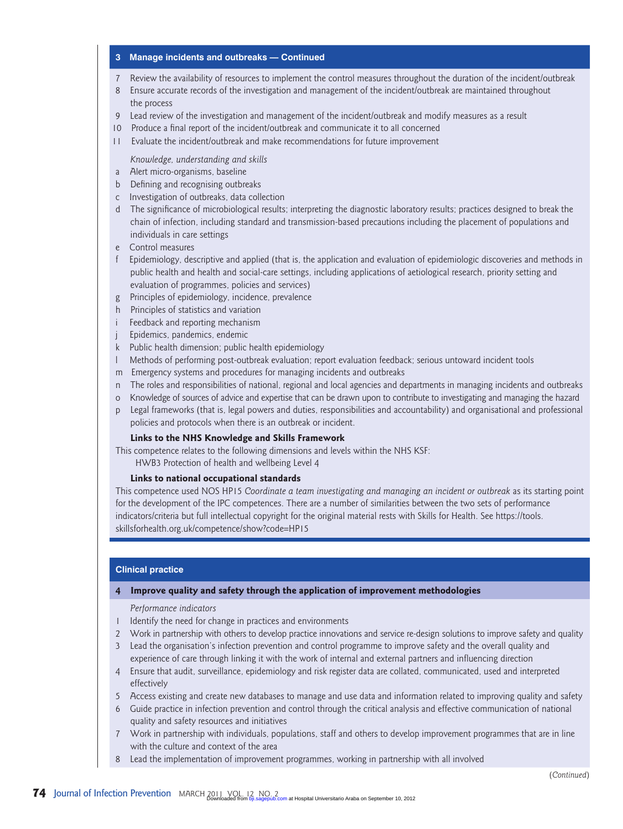#### **3 Manage incidents and outbreaks — Continued**

- 7 Review the availability of resources to implement the control measures throughout the duration of the incident/outbreak
- 8 Ensure accurate records of the investigation and management of the incident/outbreak are maintained throughout the process
- 9 Lead review of the investigation and management of the incident/outbreak and modify measures as a result
- 10 Produce a final report of the incident/outbreak and communicate it to all concerned
- 11 Evaluate the incident/outbreak and make recommendations for future improvement

#### *Knowledge, understanding and skills*

- a Alert micro-organisms, baseline
- b Defining and recognising outbreaks
- c Investigation of outbreaks, data collection
- d The significance of microbiological results; interpreting the diagnostic laboratory results; practices designed to break the chain of infection, including standard and transmission-based precautions including the placement of populations and individuals in care settings
- e Control measures
- f Epidemiology, descriptive and applied (that is, the application and evaluation of epidemiologic discoveries and methods in public health and health and social-care settings, including applications of aetiological research, priority setting and evaluation of programmes, policies and services)
- g Principles of epidemiology, incidence, prevalence
- h Principles of statistics and variation
- i Feedback and reporting mechanism
- j Epidemics, pandemics, endemic
- k Public health dimension; public health epidemiology
- l Methods of performing post-outbreak evaluation; report evaluation feedback; serious untoward incident tools
- m Emergency systems and procedures for managing incidents and outbreaks
- n The roles and responsibilities of national, regional and local agencies and departments in managing incidents and outbreaks
- o Knowledge of sources of advice and expertise that can be drawn upon to contribute to investigating and managing the hazard
- p Legal frameworks (that is, legal powers and duties, responsibilities and accountability) and organisational and professional policies and protocols when there is an outbreak or incident.

#### **Links to the NHS Knowledge and Skills Framework**

This competence relates to the following dimensions and levels within the NHS KSF:

HWB3 Protection of health and wellbeing Level 4

#### **Links to national occupational standards**

This competence used NOS HP15 *Coordinate a team investigating and managing an incident or outbreak* as its starting point for the development of the IPC competences. There are a number of similarities between the two sets of performance indicators/criteria but full intellectual copyright for the original material rests with Skills for Health. See https://tools. skillsforhealth.org.uk/competence/show?code=HP15

#### **Clinical practice**

#### **4 Improve quality and safety through the application of improvement methodologies**

#### *Performance indicators*

- 1 Identify the need for change in practices and environments
- 2 Work in partnership with others to develop practice innovations and service re-design solutions to improve safety and quality
- 3 Lead the organisation's infection prevention and control programme to improve safety and the overall quality and experience of care through linking it with the work of internal and external partners and influencing direction
- 4 Ensure that audit, surveillance, epidemiology and risk register data are collated, communicated, used and interpreted effectively
- 5 Access existing and create new databases to manage and use data and information related to improving quality and safety
- 6 Guide practice in infection prevention and control through the critical analysis and effective communication of national quality and safety resources and initiatives
- 7 Work in partnership with individuals, populations, staff and others to develop improvement programmes that are in line with the culture and context of the area
- 8 Lead the implementation of improvement programmes, working in partnership with all involved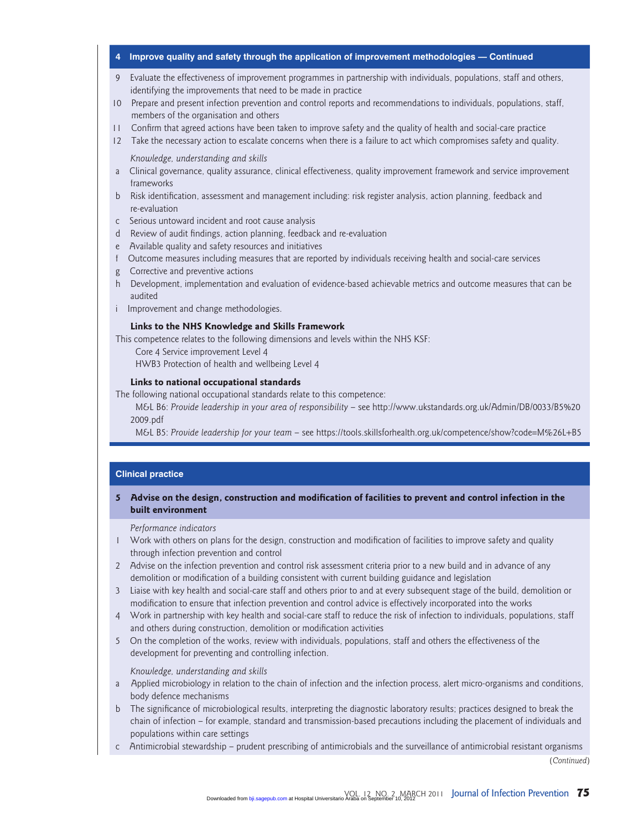#### **4 Improve quality and safety through the application of improvement methodologies — Continued**

- 9 Evaluate the effectiveness of improvement programmes in partnership with individuals, populations, staff and others, identifying the improvements that need to be made in practice
- 10 Prepare and present infection prevention and control reports and recommendations to individuals, populations, staff, members of the organisation and others
- 11 Confirm that agreed actions have been taken to improve safety and the quality of health and social-care practice
- 12 Take the necessary action to escalate concerns when there is a failure to act which compromises safety and quality.

#### *Knowledge, understanding and skills*

- a Clinical governance, quality assurance, clinical effectiveness, quality improvement framework and service improvement frameworks
- b Risk identification, assessment and management including: risk register analysis, action planning, feedback and re-evaluation
- c Serious untoward incident and root cause analysis
- d Review of audit findings, action planning, feedback and re-evaluation
- e Available quality and safety resources and initiatives
- f Outcome measures including measures that are reported by individuals receiving health and social-care services
- g Corrective and preventive actions
- h Development, implementation and evaluation of evidence-based achievable metrics and outcome measures that can be audited
- i Improvement and change methodologies.

#### **Links to the NHS Knowledge and Skills Framework**

This competence relates to the following dimensions and levels within the NHS KSF:

Core 4 Service improvement Level 4

HWB3 Protection of health and wellbeing Level 4

#### **Links to national occupational standards**

The following national occupational standards relate to this competence:

 M&L B6: *Provide leadership in your area of responsibility* – see http://www.ukstandards.org.uk/Admin/DB/0033/B5%20 2009.pdf

M&L B5: *Provide leadership for your team* – see https://tools.skillsforhealth.org.uk/competence/show?code=M%26L+B5

#### **Clinical practice**

**5** Advise on the design, construction and modification of facilities to prevent and control infection in the **built environment**

#### *Performance indicators*

- 1 Work with others on plans for the design, construction and modification of facilities to improve safety and quality through infection prevention and control
- 2 Advise on the infection prevention and control risk assessment criteria prior to a new build and in advance of any demolition or modification of a building consistent with current building guidance and legislation
- 3 Liaise with key health and social-care staff and others prior to and at every subsequent stage of the build, demolition or modification to ensure that infection prevention and control advice is effectively incorporated into the works
- 4 Work in partnership with key health and social-care staff to reduce the risk of infection to individuals, populations, staff and others during construction, demolition or modification activities
- 5 On the completion of the works, review with individuals, populations, staff and others the effectiveness of the development for preventing and controlling infection.

#### *Knowledge, understanding and skills*

- a Applied microbiology in relation to the chain of infection and the infection process, alert micro-organisms and conditions, body defence mechanisms
- b The significance of microbiological results, interpreting the diagnostic laboratory results; practices designed to break the chain of infection – for example, standard and transmission-based precautions including the placement of individuals and populations within care settings
- c Antimicrobial stewardship prudent prescribing of antimicrobials and the surveillance of antimicrobial resistant organisms

(*Continued*)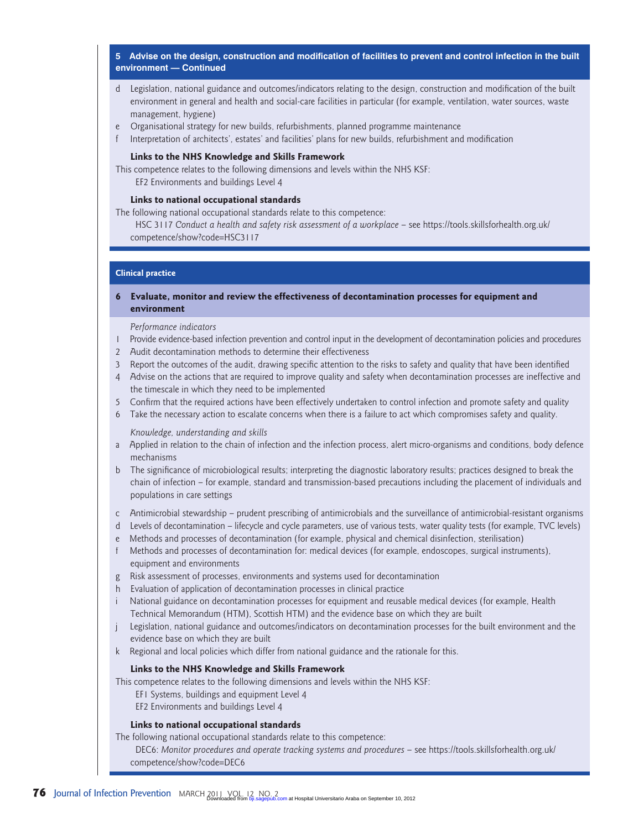#### **5** Advise on the design, construction and modification of facilities to prevent and control infection in the built **environment — Continued**

- d Legislation, national guidance and outcomes/indicators relating to the design, construction and modification of the built environment in general and health and social-care facilities in particular (for example, ventilation, water sources, waste management, hygiene)
- e Organisational strategy for new builds, refurbishments, planned programme maintenance
- f Interpretation of architects', estates' and facilities' plans for new builds, refurbishment and modification

#### **Links to the NHS Knowledge and Skills Framework**

This competence relates to the following dimensions and levels within the NHS KSF: EF2 Environments and buildings Level 4

#### **Links to national occupational standards**

The following national occupational standards relate to this competence:

 HSC 3117 *Conduct a health and safety risk assessment of a workplace* – see https://tools.skillsforhealth.org.uk/ competence/show?code=HSC3117

#### **Clinical practice**

#### **6 Evaluate, monitor and review the effectiveness of decontamination processes for equipment and environment**

*Performance indicators*

- 1 Provide evidence-based infection prevention and control input in the development of decontamination policies and procedures
- 2 Audit decontamination methods to determine their effectiveness
- 3 Report the outcomes of the audit, drawing specific attention to the risks to safety and quality that have been identified
- 4 Advise on the actions that are required to improve quality and safety when decontamination processes are ineffective and the timescale in which they need to be implemented
- 5 Confirm that the required actions have been effectively undertaken to control infection and promote safety and quality
- 6 Take the necessary action to escalate concerns when there is a failure to act which compromises safety and quality.

*Knowledge, understanding and skills*

- a Applied in relation to the chain of infection and the infection process, alert micro-organisms and conditions, body defence mechanisms
- b The significance of microbiological results; interpreting the diagnostic laboratory results; practices designed to break the chain of infection – for example, standard and transmission-based precautions including the placement of individuals and populations in care settings
- c Antimicrobial stewardship prudent prescribing of antimicrobials and the surveillance of antimicrobial-resistant organisms
- d Levels of decontamination lifecycle and cycle parameters, use of various tests, water quality tests (for example, TVC levels)
- e Methods and processes of decontamination (for example, physical and chemical disinfection, sterilisation)
- f Methods and processes of decontamination for: medical devices (for example, endoscopes, surgical instruments), equipment and environments
- g Risk assessment of processes, environments and systems used for decontamination
- h Evaluation of application of decontamination processes in clinical practice
- i National guidance on decontamination processes for equipment and reusable medical devices (for example, Health Technical Memorandum (HTM), Scottish HTM) and the evidence base on which they are built
- j Legislation, national guidance and outcomes/indicators on decontamination processes for the built environment and the evidence base on which they are built
- k Regional and local policies which differ from national guidance and the rationale for this.

#### **Links to the NHS Knowledge and Skills Framework**

This competence relates to the following dimensions and levels within the NHS KSF:

EF1 Systems, buildings and equipment Level 4

EF2 Environments and buildings Level 4

#### **Links to national occupational standards**

The following national occupational standards relate to this competence:

 DEC6: *Monitor procedures and operate tracking systems and procedures* – see https://tools.skillsforhealth.org.uk/ competence/show?code=DEC6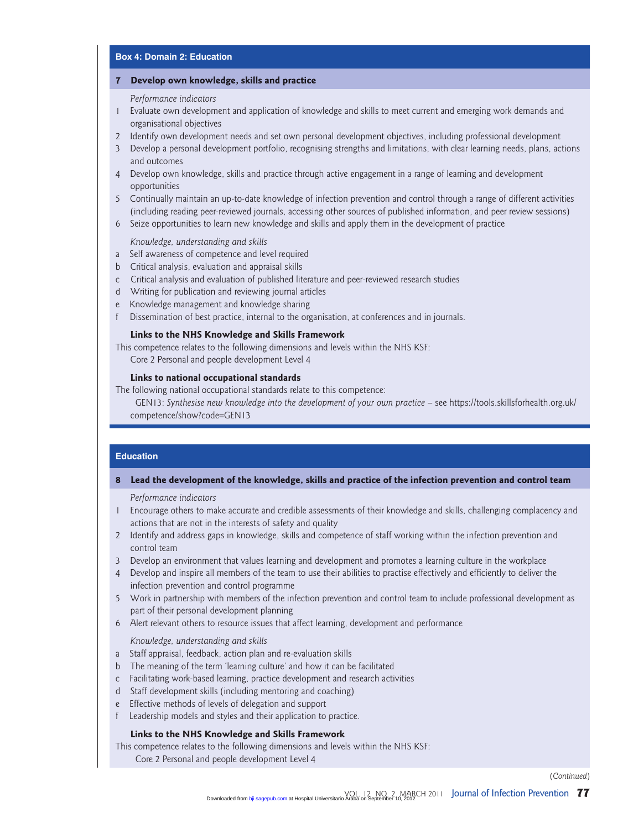#### **Box 4: Domain 2: Education**

#### **7 Develop own knowledge, skills and practice**

#### *Performance indicators*

- 1 Evaluate own development and application of knowledge and skills to meet current and emerging work demands and organisational objectives
- 2 Identify own development needs and set own personal development objectives, including professional development
- 3 Develop a personal development portfolio, recognising strengths and limitations, with clear learning needs, plans, actions and outcomes
- 4 Develop own knowledge, skills and practice through active engagement in a range of learning and development opportunities
- 5 Continually maintain an up-to-date knowledge of infection prevention and control through a range of different activities (including reading peer-reviewed journals, accessing other sources of published information, and peer review sessions)
- 6 Seize opportunities to learn new knowledge and skills and apply them in the development of practice

*Knowledge, understanding and skills*

- a Self awareness of competence and level required
- b Critical analysis, evaluation and appraisal skills
- c Critical analysis and evaluation of published literature and peer-reviewed research studies
- d Writing for publication and reviewing journal articles
- e Knowledge management and knowledge sharing
- f Dissemination of best practice, internal to the organisation, at conferences and in journals.

#### **Links to the NHS Knowledge and Skills Framework**

This competence relates to the following dimensions and levels within the NHS KSF:

Core 2 Personal and people development Level 4

#### **Links to national occupational standards**

The following national occupational standards relate to this competence:

GEN13: Synthesise new knowledge into the development of your own practice – see https://tools.skillsforhealth.org.uk/ competence/show?code=GEN13

#### **Education**

**8 Lead the development of the knowledge, skills and practice of the infection prevention and control team**

*Performance indicators*

- 1 Encourage others to make accurate and credible assessments of their knowledge and skills, challenging complacency and actions that are not in the interests of safety and quality
- 2 Identify and address gaps in knowledge, skills and competence of staff working within the infection prevention and control team
- 3 Develop an environment that values learning and development and promotes a learning culture in the workplace
- 4 Develop and inspire all members of the team to use their abilities to practise effectively and efficiently to deliver the infection prevention and control programme
- 5 Work in partnership with members of the infection prevention and control team to include professional development as part of their personal development planning
- 6 Alert relevant others to resource issues that affect learning, development and performance

*Knowledge, understanding and skills*

- a Staff appraisal, feedback, action plan and re-evaluation skills
- b The meaning of the term 'learning culture' and how it can be facilitated
- c Facilitating work-based learning, practice development and research activities
- d Staff development skills (including mentoring and coaching)
- e Effective methods of levels of delegation and support
- f Leadership models and styles and their application to practice.

#### **Links to the NHS Knowledge and Skills Framework**

This competence relates to the following dimensions and levels within the NHS KSF:

Core 2 Personal and people development Level 4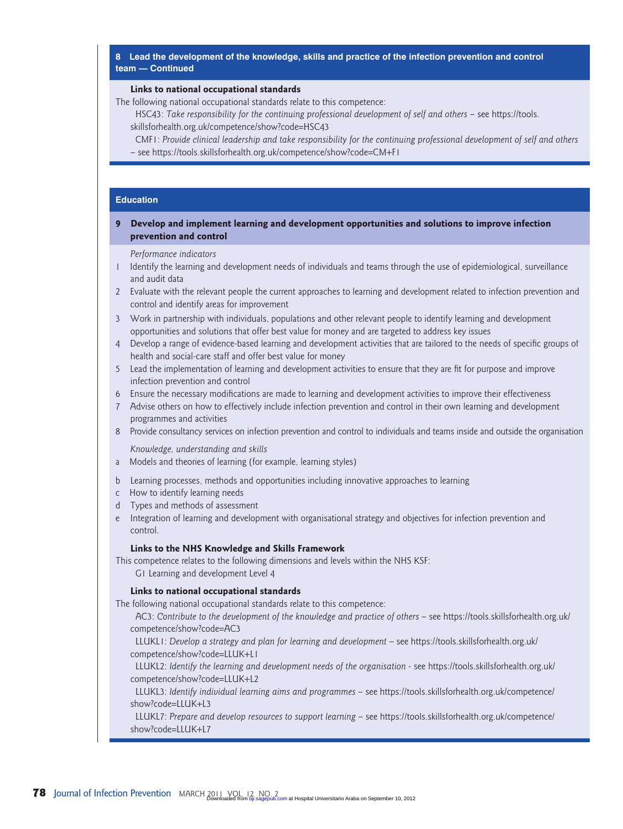**8 Lead the development of the knowledge, skills and practice of the infection prevention and control team — Continued**

#### **Links to national occupational standards**

The following national occupational standards relate to this competence:

- HSC43: *Take responsibility for the continuing professional development of self and others* see https://tools. skillsforhealth.org.uk/competence/show?code=HSC43
- CMF1: *Provide clinical leadership and take responsibility for the continuing professional development of self and others* – see https://tools.skillsforhealth.org.uk/competence/show?code=CM+F1
- 

#### **Education**

**9 Develop and implement learning and development opportunities and solutions to improve infection prevention and control**

*Performance indicators*

- 1 Identify the learning and development needs of individuals and teams through the use of epidemiological, surveillance and audit data
- 2 Evaluate with the relevant people the current approaches to learning and development related to infection prevention and control and identify areas for improvement
- 3 Work in partnership with individuals, populations and other relevant people to identify learning and development opportunities and solutions that offer best value for money and are targeted to address key issues
- 4 Develop a range of evidence-based learning and development activities that are tailored to the needs of specific groups of health and social-care staff and offer best value for money
- 5 Lead the implementation of learning and development activities to ensure that they are fi t for purpose and improve infection prevention and control
- 6 Ensure the necessary modifications are made to learning and development activities to improve their effectiveness
- 7 Advise others on how to effectively include infection prevention and control in their own learning and development programmes and activities
- 8 Provide consultancy services on infection prevention and control to individuals and teams inside and outside the organisation

*Knowledge, understanding and skills*

- a Models and theories of learning (for example, learning styles)
- b Learning processes, methods and opportunities including innovative approaches to learning
- c How to identify learning needs
- d Types and methods of assessment
- e Integration of learning and development with organisational strategy and objectives for infection prevention and control.

#### **Links to the NHS Knowledge and Skills Framework**

This competence relates to the following dimensions and levels within the NHS KSF: G1 Learning and development Level 4

#### **Links to national occupational standards**

The following national occupational standards relate to this competence:

 AC3: *Contribute to the development of the knowledge and practice of others* – see https://tools.skillsforhealth.org.uk/ competence/show?code=AC3

 LLUKL1: *Develop a strategy and plan for learning and development* – see https://tools.skillsforhealth.org.uk/ competence/show?code=LLUK+L1

 LLUKL2: *Identify the learning and development needs of the organisation* - see https://tools.skillsforhealth.org.uk/ competence/show?code=LLUK+L2

 LLUKL3: *Identify individual learning aims and programmes* – see https://tools.skillsforhealth.org.uk/competence/ show?code=LLUK+L3

 LLUKL7: *Prepare and develop resources to support learning* – see https://tools.skillsforhealth.org.uk/competence/ show?code=LLUK+L7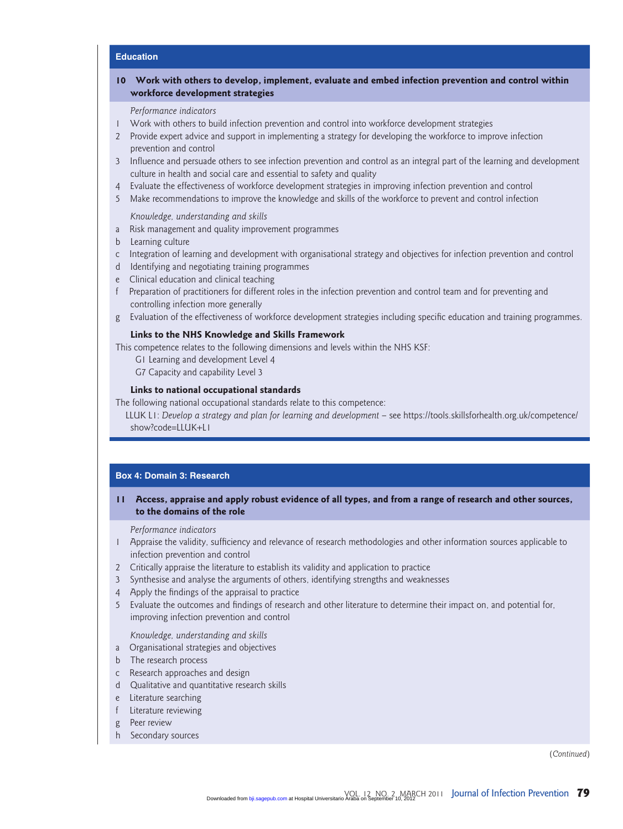#### **Education**

| 10 Work with others to develop, implement, evaluate and embed infection prevention and control within |
|-------------------------------------------------------------------------------------------------------|
| workforce development strategies                                                                      |

#### *Performance indicators*

- 1 Work with others to build infection prevention and control into workforce development strategies
- 2 Provide expert advice and support in implementing a strategy for developing the workforce to improve infection prevention and control
- 3 Influence and persuade others to see infection prevention and control as an integral part of the learning and development culture in health and social care and essential to safety and quality
- 4 Evaluate the effectiveness of workforce development strategies in improving infection prevention and control
- 5 Make recommendations to improve the knowledge and skills of the workforce to prevent and control infection

#### *Knowledge, understanding and skills*

- a Risk management and quality improvement programmes
- b Learning culture
- c Integration of learning and development with organisational strategy and objectives for infection prevention and control
- d Identifying and negotiating training programmes
- e Clinical education and clinical teaching
- f Preparation of practitioners for different roles in the infection prevention and control team and for preventing and controlling infection more generally
- g Evaluation of the effectiveness of workforce development strategies including specifi c education and training programmes.

#### **Links to the NHS Knowledge and Skills Framework**

This competence relates to the following dimensions and levels within the NHS KSF:

G1 Learning and development Level 4

G7 Capacity and capability Level 3

#### **Links to national occupational standards**

The following national occupational standards relate to this competence:

LLUK L1: *Develop a strategy and plan for learning and development* – see https://tools.skillsforhealth.org.uk/competence/ show?code=LLUK+L1

#### **Box 4: Domain 3: Research**

**11 Access, appraise and apply robust evidence of all types, and from a range of research and other sources, to the domains of the role**

#### *Performance indicators*

- 1 Appraise the validity, sufficiency and relevance of research methodologies and other information sources applicable to infection prevention and control
- 2 Critically appraise the literature to establish its validity and application to practice
- 3 Synthesise and analyse the arguments of others, identifying strengths and weaknesses
- 4 Apply the findings of the appraisal to practice
- 5 Evaluate the outcomes and findings of research and other literature to determine their impact on, and potential for, improving infection prevention and control

*Knowledge, understanding and skills*

- a Organisational strategies and objectives
- b The research process
- c Research approaches and design
- d Qualitative and quantitative research skills
- e Literature searching
- f Literature reviewing
- g Peer review
- h Secondary sources

(*Continued*)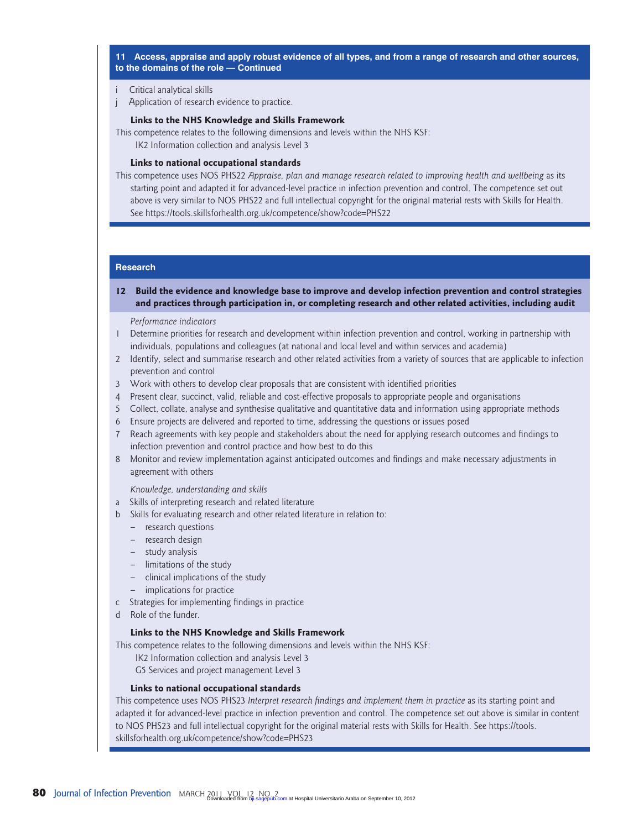#### **11 Access, appraise and apply robust evidence of all types, and from a range of research and other sources, to the domains of the role — Continued**

- i Critical analytical skills
- j Application of research evidence to practice.

#### **Links to the NHS Knowledge and Skills Framework**

This competence relates to the following dimensions and levels within the NHS KSF: IK2 Information collection and analysis Level 3

#### **Links to national occupational standards**

This competence uses NOS PHS22 *Appraise, plan and manage research related to improving health and wellbeing* as its starting point and adapted it for advanced-level practice in infection prevention and control. The competence set out above is very similar to NOS PHS22 and full intellectual copyright for the original material rests with Skills for Health. See https://tools.skillsforhealth.org.uk/competence/show?code=PHS22

#### **Research**

**12 Build the evidence and knowledge base to improve and develop infection prevention and control strategies and practices through participation in, or completing research and other related activities, including audit**

#### *Performance indicators*

- 1 Determine priorities for research and development within infection prevention and control, working in partnership with individuals, populations and colleagues (at national and local level and within services and academia)
- 2 Identify, select and summarise research and other related activities from a variety of sources that are applicable to infection prevention and control
- 3 Work with others to develop clear proposals that are consistent with identified priorities
- 4 Present clear, succinct, valid, reliable and cost-effective proposals to appropriate people and organisations
- 5 Collect, collate, analyse and synthesise qualitative and quantitative data and information using appropriate methods
- 6 Ensure projects are delivered and reported to time, addressing the questions or issues posed
- 7 Reach agreements with key people and stakeholders about the need for applying research outcomes and findings to infection prevention and control practice and how best to do this
- 8 Monitor and review implementation against anticipated outcomes and findings and make necessary adjustments in agreement with others

#### *Knowledge, understanding and skills*

- a Skills of interpreting research and related literature
- b Skills for evaluating research and other related literature in relation to:
	- research questions
	- research design
	- study analysis
	- limitations of the study
	- clinical implications of the study
	- implications for practice
- c Strategies for implementing findings in practice
- d Role of the funder.

#### **Links to the NHS Knowledge and Skills Framework**

This competence relates to the following dimensions and levels within the NHS KSF:

IK2 Information collection and analysis Level 3

G5 Services and project management Level 3

#### **Links to national occupational standards**

This competence uses NOS PHS23 *Interpret research findings and implement them in practice* as its starting point and adapted it for advanced-level practice in infection prevention and control. The competence set out above is similar in content to NOS PHS23 and full intellectual copyright for the original material rests with Skills for Health. See https://tools. skillsforhealth.org.uk/competence/show?code=PHS23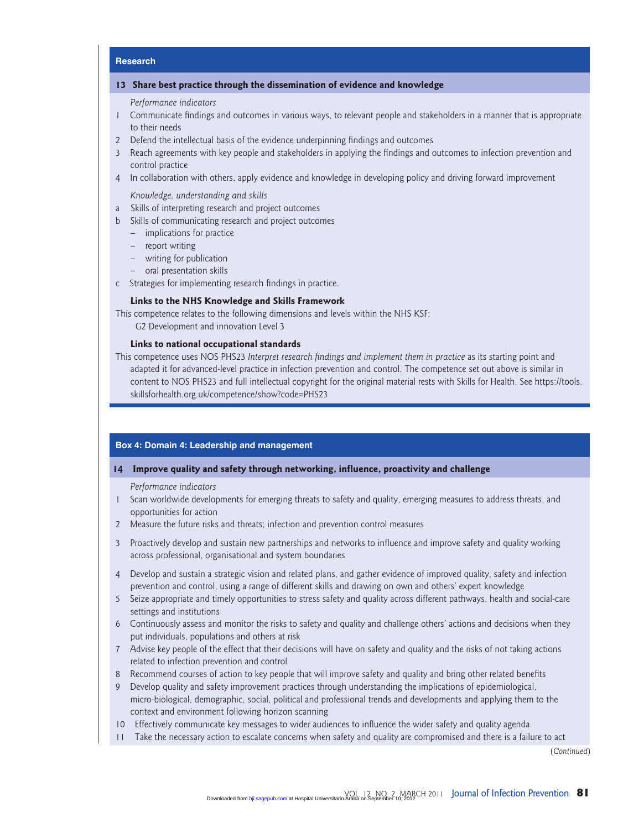#### **Research**

#### **13 Share best practice through the dissemination of evidence and knowledge**

*Performance indicators*

- 1 Communicate findings and outcomes in various ways, to relevant people and stakeholders in a manner that is appropriate to their needs
- 2 Defend the intellectual basis of the evidence underpinning findings and outcomes
- 3 Reach agreements with key people and stakeholders in applying the findings and outcomes to infection prevention and control practice
- 4 In collaboration with others, apply evidence and knowledge in developing policy and driving forward improvement

*Knowledge, understanding and skills*

- a Skills of interpreting research and project outcomes
- b Skills of communicating research and project outcomes
	- implications for practice
	- report writing
	- writing for publication
	- oral presentation skills
- c Strategies for implementing research findings in practice.

#### **Links to the NHS Knowledge and Skills Framework**

This competence relates to the following dimensions and levels within the NHS KSF:

G2 Development and innovation Level 3

#### **Links to national occupational standards**

This competence uses NOS PHS23 *Interpret research findings and implement them in practice* as its starting point and adapted it for advanced-level practice in infection prevention and control. The competence set out above is similar in content to NOS PHS23 and full intellectual copyright for the original material rests with Skills for Health. See https://tools. skillsforhealth.org.uk/competence/show?code=PHS23

#### **Box 4: Domain 4: Leadership and management**

#### **14 Improve quality and safety through networking, infl uence, proactivity and challenge**

*Performance indicators*

- 1 Scan worldwide developments for emerging threats to safety and quality, emerging measures to address threats, and opportunities for action
- 2 Measure the future risks and threats; infection and prevention control measures
- 3 Proactively develop and sustain new partnerships and networks to influence and improve safety and quality working across professional, organisational and system boundaries
- 4 Develop and sustain a strategic vision and related plans, and gather evidence of improved quality, safety and infection prevention and control, using a range of different skills and drawing on own and others' expert knowledge
- 5 Seize appropriate and timely opportunities to stress safety and quality across different pathways, health and social-care settings and institutions
- 6 Continuously assess and monitor the risks to safety and quality and challenge others' actions and decisions when they put individuals, populations and others at risk
- 7 Advise key people of the effect that their decisions will have on safety and quality and the risks of not taking actions related to infection prevention and control
- 8 Recommend courses of action to key people that will improve safety and quality and bring other related benefits
- 9 Develop quality and safety improvement practices through understanding the implications of epidemiological, micro-biological, demographic, social, political and professional trends and developments and applying them to the context and environment following horizon scanning
- 10 Effectively communicate key messages to wider audiences to influence the wider safety and quality agenda
- 11 Take the necessary action to escalate concerns when safety and quality are compromised and there is a failure to act

(*Continued*)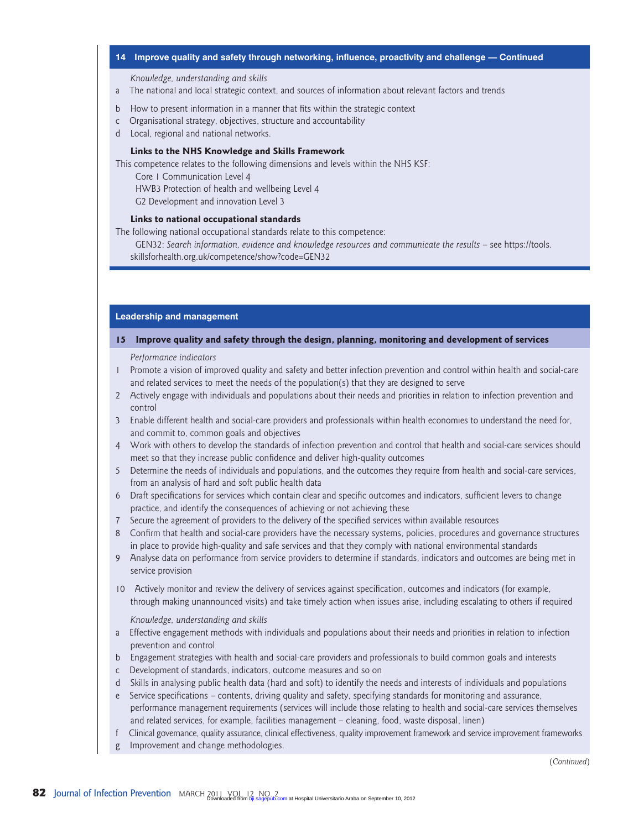#### 14 Improve quality and safety through networking, influence, proactivity and challenge — Continued

*Knowledge, understanding and skills*

- a The national and local strategic context, and sources of information about relevant factors and trends
- b How to present information in a manner that fits within the strategic context
- c Organisational strategy, objectives, structure and accountability
- d Local, regional and national networks.

#### **Links to the NHS Knowledge and Skills Framework**

This competence relates to the following dimensions and levels within the NHS KSF:

 Core 1 Communication Level 4 HWB3 Protection of health and wellbeing Level 4 G2 Development and innovation Level 3

#### **Links to national occupational standards**

The following national occupational standards relate to this competence:

GEN32: Search information, evidence and knowledge resources and communicate the results - see https://tools. skillsforhealth.org.uk/competence/show?code=GEN32

#### **Leadership and management**

#### **15 Improve quality and safety through the design, planning, monitoring and development of services**

*Performance indicators*

- 1 Promote a vision of improved quality and safety and better infection prevention and control within health and social-care and related services to meet the needs of the population(s) that they are designed to serve
- 2 Actively engage with individuals and populations about their needs and priorities in relation to infection prevention and control
- 3 Enable different health and social-care providers and professionals within health economies to understand the need for, and commit to, common goals and objectives
- 4 Work with others to develop the standards of infection prevention and control that health and social-care services should meet so that they increase public confidence and deliver high-quality outcomes
- 5 Determine the needs of individuals and populations, and the outcomes they require from health and social-care services, from an analysis of hard and soft public health data
- 6 Draft specifications for services which contain clear and specific outcomes and indicators, sufficient levers to change practice, and identify the consequences of achieving or not achieving these
- 7 Secure the agreement of providers to the delivery of the specified services within available resources
- 8 Confirm that health and social-care providers have the necessary systems, policies, procedures and governance structures in place to provide high-quality and safe services and that they comply with national environmental standards
- 9 Analyse data on performance from service providers to determine if standards, indicators and outcomes are being met in service provision
- 10 Actively monitor and review the delivery of services against specification, outcomes and indicators (for example, through making unannounced visits) and take timely action when issues arise, including escalating to others if required

*Knowledge, understanding and skills*

- a Effective engagement methods with individuals and populations about their needs and priorities in relation to infection prevention and control
- b Engagement strategies with health and social-care providers and professionals to build common goals and interests
- c Development of standards, indicators, outcome measures and so on
- d Skills in analysing public health data (hard and soft) to identify the needs and interests of individuals and populations
- e Service specifications contents, driving quality and safety, specifying standards for monitoring and assurance, performance management requirements (services will include those relating to health and social-care services themselves and related services, for example, facilities management – cleaning, food, waste disposal, linen)
- f Clinical governance, quality assurance, clinical effectiveness, quality improvement framework and service improvement frameworks
- g Improvement and change methodologies.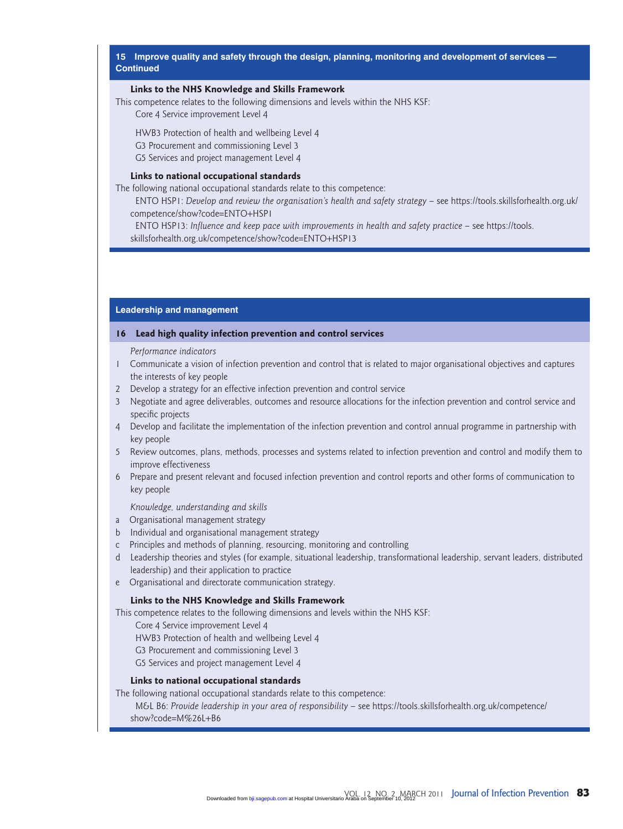**15 Improve quality and safety through the design, planning, monitoring and development of services — Continued**

#### **Links to the NHS Knowledge and Skills Framework**

This competence relates to the following dimensions and levels within the NHS KSF: Core 4 Service improvement Level 4

HWB3 Protection of health and wellbeing Level 4

G3 Procurement and commissioning Level 3

G5 Services and project management Level 4

#### **Links to national occupational standards**

The following national occupational standards relate to this competence:

 ENTO HSP1: *Develop and review the organisation's health and safety strategy* – see https://tools.skillsforhealth.org.uk/ competence/show?code=ENTO+HSP1

ENTO HSP13: *Influence and keep pace with improvements in health and safety practice* – see https://tools. skillsforhealth.org.uk/competence/show?code=ENTO+HSP13

#### **Leadership and management**

#### **16 Lead high quality infection prevention and control services**

*Performance indicators*

- 1 Communicate a vision of infection prevention and control that is related to major organisational objectives and captures the interests of key people
- 2 Develop a strategy for an effective infection prevention and control service
- 3 Negotiate and agree deliverables, outcomes and resource allocations for the infection prevention and control service and specific projects
- 4 Develop and facilitate the implementation of the infection prevention and control annual programme in partnership with key people
- 5 Review outcomes, plans, methods, processes and systems related to infection prevention and control and modify them to improve effectiveness
- 6 Prepare and present relevant and focused infection prevention and control reports and other forms of communication to key people

*Knowledge, understanding and skills*

- a Organisational management strategy
- b Individual and organisational management strategy
- c Principles and methods of planning, resourcing, monitoring and controlling
- d Leadership theories and styles (for example, situational leadership, transformational leadership, servant leaders, distributed leadership) and their application to practice
- e Organisational and directorate communication strategy.

#### **Links to the NHS Knowledge and Skills Framework**

This competence relates to the following dimensions and levels within the NHS KSF:

Core 4 Service improvement Level 4

HWB3 Protection of health and wellbeing Level 4

G3 Procurement and commissioning Level 3

G5 Services and project management Level 4

#### **Links to national occupational standards**

The following national occupational standards relate to this competence:

 M&L B6: *Provide leadership in your area of responsibility* – see https://tools.skillsforhealth.org.uk/competence/ show?code=M%26L+B6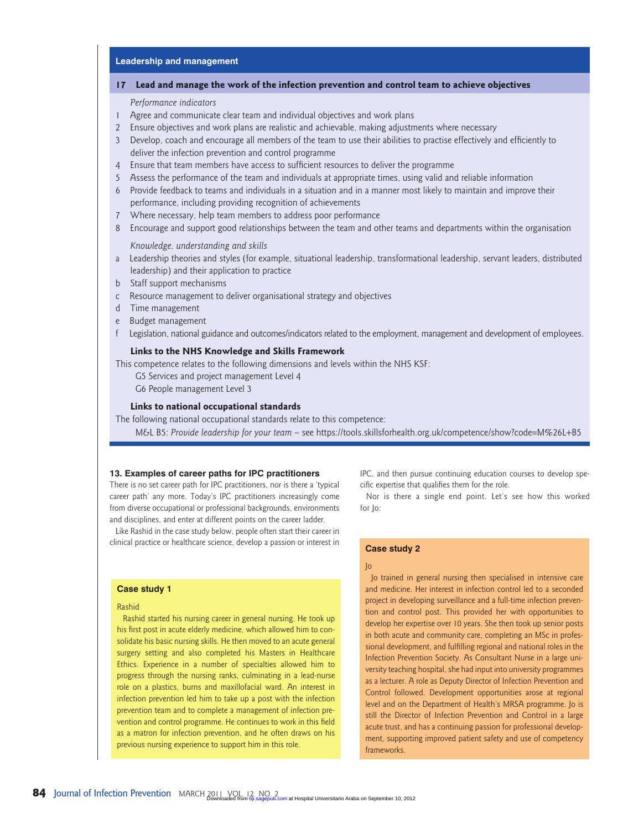#### **Leadership and management**

#### **17 Lead and manage the work of the infection prevention and control team to achieve objectives**

*Performance indicators*

- 1 Agree and communicate clear team and individual objectives and work plans
- 2 Ensure objectives and work plans are realistic and achievable, making adjustments where necessary
- 3 Develop, coach and encourage all members of the team to use their abilities to practise effectively and efficiently to deliver the infection prevention and control programme
- 4 Ensure that team members have access to sufficient resources to deliver the programme
- 5 Assess the performance of the team and individuals at appropriate times, using valid and reliable information
- 6 Provide feedback to teams and individuals in a situation and in a manner most likely to maintain and improve their performance, including providing recognition of achievements
- 7 Where necessary, help team members to address poor performance
- 8 Encourage and support good relationships between the team and other teams and departments within the organisation

#### *Knowledge, understanding and skills*

- a Leadership theories and styles (for example, situational leadership, transformational leadership, servant leaders, distributed leadership) and their application to practice
- b Staff support mechanisms
- c Resource management to deliver organisational strategy and objectives
- d Time management
- e Budget management
- f Legislation, national guidance and outcomes/indicators related to the employment, management and development of employees.

#### **Links to the NHS Knowledge and Skills Framework**

This competence relates to the following dimensions and levels within the NHS KSF:

G5 Services and project management Level 4

G6 People management Level 3

#### **Links to national occupational standards**

The following national occupational standards relate to this competence:

M&L B5: *Provide leadership for your team* – see https://tools.skillsforhealth.org.uk/competence/show?code=M%26L+B5

#### **13. Examples of career paths for IPC practitioners**

There is no set career path for IPC practitioners, nor is there a 'typical career path' any more. Today's IPC practitioners increasingly come from diverse occupational or professional backgrounds, environments and disciplines, and enter at different points on the career ladder.

 Like Rashid in the case study below, people often start their career in clinical practice or healthcare science, develop a passion or interest in

#### **Case study 1**

#### Rashid

 Rashid started his nursing career in general nursing. He took up his first post in acute elderly medicine, which allowed him to consolidate his basic nursing skills. He then moved to an acute general surgery setting and also completed his Masters in Healthcare Ethics. Experience in a number of specialties allowed him to progress through the nursing ranks, culminating in a lead-nurse role on a plastics, burns and maxillofacial ward. An interest in infection prevention led him to take up a post with the infection prevention team and to complete a management of infection prevention and control programme. He continues to work in this field as a matron for infection prevention, and he often draws on his previous nursing experience to support him in this role.

IPC, and then pursue continuing education courses to develop specific expertise that qualifies them for the role.

Nor is there a single end point. Let's see how this worked for Jo:

#### **Case study 2**

#### Jo

Jo trained in general nursing then specialised in intensive care and medicine. Her interest in infection control led to a seconded project in developing surveillance and a full-time infection prevention and control post. This provided her with opportunities to develop her expertise over 10 years. She then took up senior posts in both acute and community care, completing an MSc in professional development, and fulfilling regional and national roles in the Infection Prevention Society. As Consultant Nurse in a large university teaching hospital, she had input into university programmes as a lecturer. A role as Deputy Director of Infection Prevention and Control followed. Development opportunities arose at regional level and on the Department of Health's MRSA programme. Jo is still the Director of Infection Prevention and Control in a large acute trust, and has a continuing passion for professional development, supporting improved patient safety and use of competency frameworks.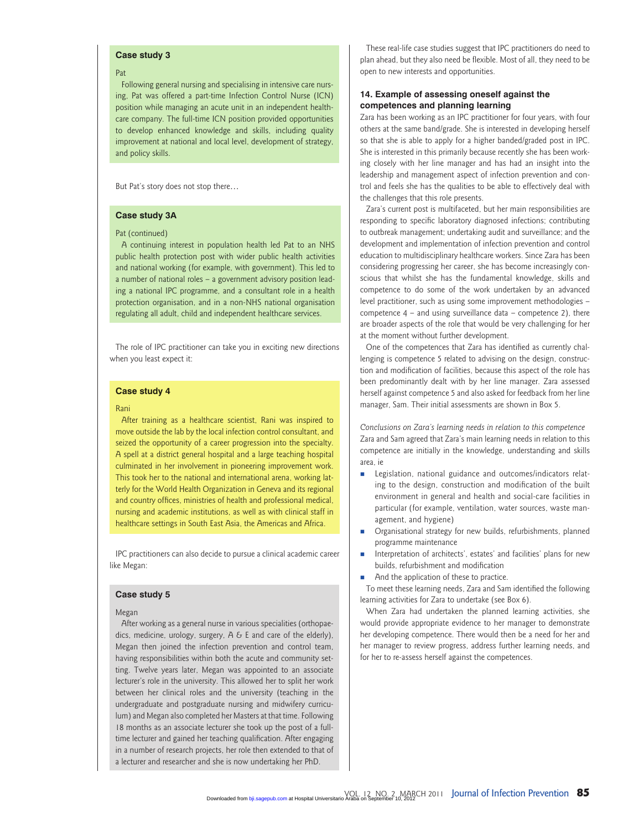#### **Case study 3**

#### Pat

 Following general nursing and specialising in intensive care nursing, Pat was offered a part-time Infection Control Nurse (ICN) position while managing an acute unit in an independent healthcare company. The full-time ICN position provided opportunities to develop enhanced knowledge and skills, including quality improvement at national and local level, development of strategy, and policy skills.

But Pat's story does not stop there...

#### **Case study 3A**

#### Pat (continued)

 A continuing interest in population health led Pat to an NHS public health protection post with wider public health activities and national working (for example, with government). This led to a number of national roles – a government advisory position leading a national IPC programme, and a consultant role in a health protection organisation, and in a non-NHS national organisation regulating all adult, child and independent healthcare services.

 The role of IPC practitioner can take you in exciting new directions when you least expect it:

#### **Case study 4**

#### Rani

 After training as a healthcare scientist, Rani was inspired to move outside the lab by the local infection control consultant, and seized the opportunity of a career progression into the specialty. A spell at a district general hospital and a large teaching hospital culminated in her involvement in pioneering improvement work. This took her to the national and international arena, working latterly for the World Health Organization in Geneva and its regional and country offices, ministries of health and professional medical, nursing and academic institutions, as well as with clinical staff in healthcare settings in South East Asia, the Americas and Africa.

 IPC practitioners can also decide to pursue a clinical academic career like Megan:

#### **Case study 5**

#### Megan

 After working as a general nurse in various specialities (orthopaedics, medicine, urology, surgery,  $A \& E$  and care of the elderly), Megan then joined the infection prevention and control team, having responsibilities within both the acute and community setting. Twelve years later, Megan was appointed to an associate lecturer's role in the university. This allowed her to split her work between her clinical roles and the university (teaching in the undergraduate and postgraduate nursing and midwifery curriculum) and Megan also completed her Masters at that time. Following 18 months as an associate lecturer she took up the post of a fulltime lecturer and gained her teaching qualification. After engaging in a number of research projects, her role then extended to that of a lecturer and researcher and she is now undertaking her PhD.

These real-life case studies suggest that IPC practitioners do need to plan ahead, but they also need be flexible. Most of all, they need to be open to new interests and opportunities.

#### **14. Example of assessing oneself against the competences and planning learning**

Zara has been working as an IPC practitioner for four years, with four others at the same band/grade. She is interested in developing herself so that she is able to apply for a higher banded/graded post in IPC. She is interested in this primarily because recently she has been working closely with her line manager and has had an insight into the leadership and management aspect of infection prevention and control and feels she has the qualities to be able to effectively deal with the challenges that this role presents.

Zara's current post is multifaceted, but her main responsibilities are responding to specific laboratory diagnosed infections; contributing to outbreak management; undertaking audit and surveillance; and the development and implementation of infection prevention and control education to multidisciplinary healthcare workers. Since Zara has been considering progressing her career, she has become increasingly conscious that whilst she has the fundamental knowledge, skills and competence to do some of the work undertaken by an advanced level practitioner, such as using some improvement methodologies – competence  $4$  – and using surveillance data – competence 2), there are broader aspects of the role that would be very challenging for her at the moment without further development.

One of the competences that Zara has identified as currently challenging is competence 5 related to advising on the design, construction and modification of facilities, because this aspect of the role has been predominantly dealt with by her line manager. Zara assessed herself against competence 5 and also asked for feedback from her line manager, Sam. Their initial assessments are shown in Box 5.

*Conclusions on Zara's learning needs in relation to this competence*  Zara and Sam agreed that Zara's main learning needs in relation to this competence are initially in the knowledge, understanding and skills area, ie

- Legislation, national guidance and outcomes/indicators relating to the design, construction and modification of the built environment in general and health and social-care facilities in particular (for example, ventilation, water sources, waste management, and hygiene)
- **n** Organisational strategy for new builds, refurbishments, planned programme maintenance
- Interpretation of architects', estates' and facilities' plans for new builds, refurbishment and modification
- And the application of these to practice.

To meet these learning needs, Zara and Sam identified the following learning activities for Zara to undertake (see Box 6).

When Zara had undertaken the planned learning activities, she would provide appropriate evidence to her manager to demonstrate her developing competence. There would then be a need for her and her manager to review progress, address further learning needs, and for her to re-assess herself against the competences.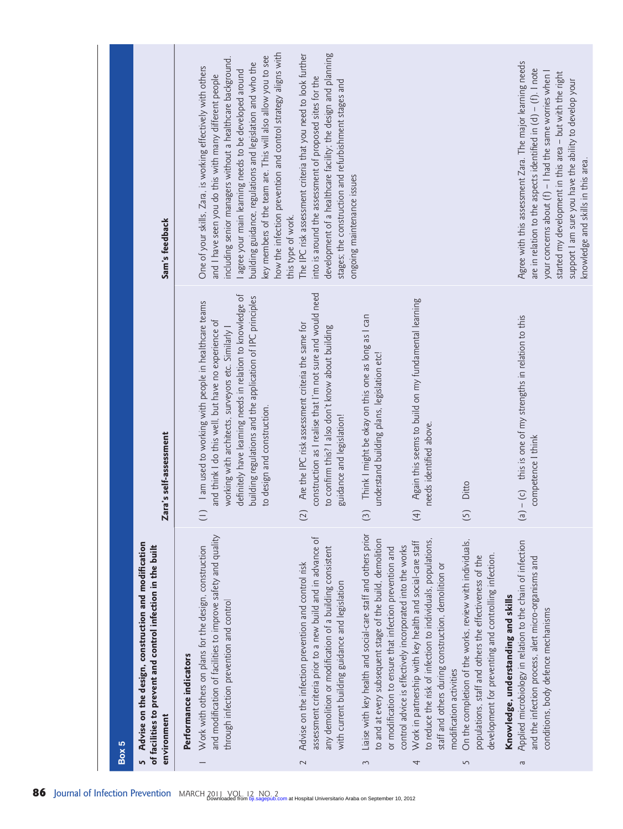|       | Sam's feedback                                                                                                                                 | how the infection prevention and control strategy aligns with<br>key members of the team are. This will also allow you to see<br>including senior managers without a healthcare background.<br>building guidance, regulations and legislation and who the<br>One of your skills, Zara, is working effectively with others<br>I agree your main learning needs to be developed around<br>and I have seen you do this with many different people<br>this type of work. | The IPC risk assessment criteria that you need to look further<br>development of a healthcare facility; the design and planning<br>into is around the assessment of proposed sites for the<br>stages; the construction and refurbishment stages and<br>ongoing maintenance issues |                                                                                                                                                                                                                                                              |                                                                                                                                                                                                                  |                                                                                                                                                                                             | Agree with this assessment Zara. The major learning needs<br>are in relation to the aspects identified in $(d) - (f)$ . I note<br>your concerns about (f) - I had the same worries when I<br>started my development in this area - but with the right<br>support I am sure you have the ability to develop your<br>knowledge and skills in this area. |
|-------|------------------------------------------------------------------------------------------------------------------------------------------------|----------------------------------------------------------------------------------------------------------------------------------------------------------------------------------------------------------------------------------------------------------------------------------------------------------------------------------------------------------------------------------------------------------------------------------------------------------------------|-----------------------------------------------------------------------------------------------------------------------------------------------------------------------------------------------------------------------------------------------------------------------------------|--------------------------------------------------------------------------------------------------------------------------------------------------------------------------------------------------------------------------------------------------------------|------------------------------------------------------------------------------------------------------------------------------------------------------------------------------------------------------------------|---------------------------------------------------------------------------------------------------------------------------------------------------------------------------------------------|-------------------------------------------------------------------------------------------------------------------------------------------------------------------------------------------------------------------------------------------------------------------------------------------------------------------------------------------------------|
|       | Zara's self-assessment                                                                                                                         | definitely have learning needs in relation to knowledge of<br>building regulations and the application of IPC principles<br>I am used to working with people in healthcare teams<br>and think I do this well, but have no experience of<br>working with architects, surveyors etc. Similarly I<br>to design and construction.<br>$\overline{\phantom{0}}$                                                                                                            | construction as I realise that I'm not sure and would need<br>Are the IPC risk assessment criteria the same for<br>to confirm this? I also don't know about building<br>guidance and legislation!<br>(2)                                                                          | Think I might be okay on this one as long as I can<br>understand building plans, legislation etc!<br>$\begin{array}{c} \boxed{3} \end{array}$                                                                                                                | Again this seems to build on my fundamental learning<br>needs identified above.<br>$(4)$                                                                                                                         | Ditto<br>(5)                                                                                                                                                                                | $(a) - (c)$ this is one of my strengths in relation to this<br>competence I think                                                                                                                                                                                                                                                                     |
| Box 5 | Advise on the design, construction and modification<br>of facilities to prevent and control infection in the built<br>environment<br><b>In</b> | and modification of facilities to improve safety and quality<br>Work with others on plans for the design, construction<br>through infection prevention and control<br>Performance indicators                                                                                                                                                                                                                                                                         | assessment criteria prior to a new build and in advance of<br>any demolition or modification of a building consistent<br>Advise on the infection prevention and control risk<br>with current building guidance and legislation<br>$\mathbb{C}$                                    | Liaise with key health and social-care staff and others prior<br>to and at every subsequent stage of the build, demolition<br>control advice is effectively incorporated into the works<br>or modification to ensure that infection prevention and<br>$\sim$ | to reduce the risk of infection to individuals, populations,<br>Work in partnership with key health and social-care staff<br>staff and others during construction, demolition or<br>modification activities<br>4 | On the completion of the works, review with individuals,<br>development for preventing and controlling infection.<br>populations, staff and others the effectiveness of the<br>$\mathsf{S}$ | Applied microbiology in relation to the chain of infection<br>and the infection process, alert micro-organisms and<br>Knowledge, understanding and skills<br>conditions, body defence mechanisms<br>Б                                                                                                                                                 |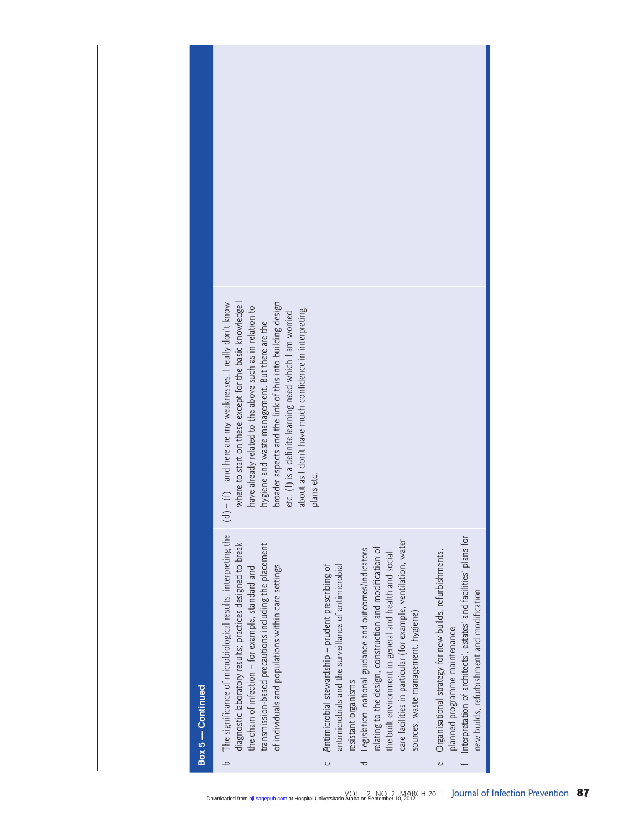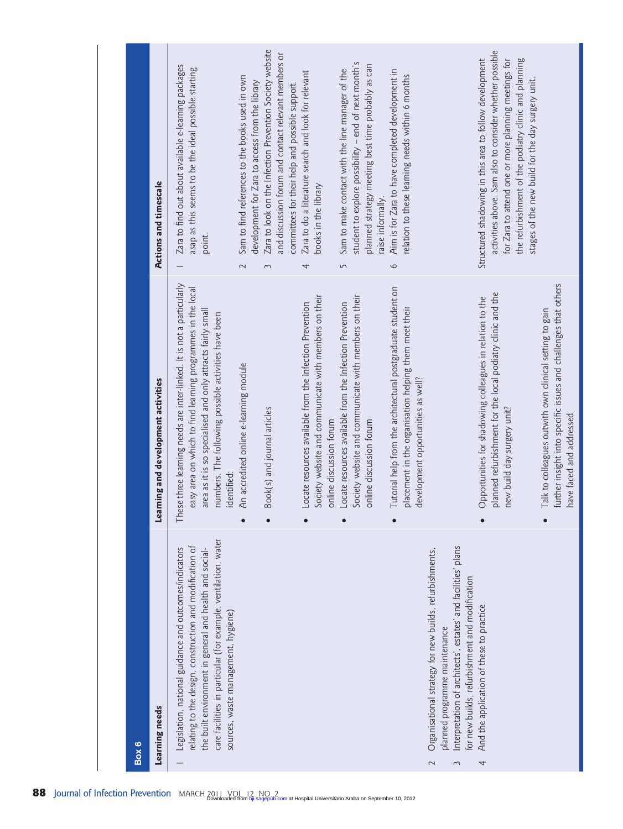|                                                             | Box 6                                                                                                                                                                                                                                                                                  |                                                                                                                                                                                                                                                                            |                                                                                                                                                                                                                                                                                          |
|-------------------------------------------------------------|----------------------------------------------------------------------------------------------------------------------------------------------------------------------------------------------------------------------------------------------------------------------------------------|----------------------------------------------------------------------------------------------------------------------------------------------------------------------------------------------------------------------------------------------------------------------------|------------------------------------------------------------------------------------------------------------------------------------------------------------------------------------------------------------------------------------------------------------------------------------------|
|                                                             | Learning needs                                                                                                                                                                                                                                                                         | Learning and development activities                                                                                                                                                                                                                                        | Actions and timescale                                                                                                                                                                                                                                                                    |
| 88 Journal of Infection Prevention MARCH 2011 VOL. 12 NO. 2 | care facilities in particular (for example, ventilation, water<br>relating to the design, construction and modification of<br>Legislation, national guidance and outcomes/indicators<br>the built environment in general and health and social-<br>sources, waste management, hygiene) | These three learning needs are inter-linked. It is not a particularly<br>easy area on which to find learning programmes in the local<br>area as it is so specialised and only attracts fairly small<br>numbers. The following possible activities have been<br>identified: | Zara to find out about available e-learning packages<br>asap as this seems to be the ideal possible starting<br>point.                                                                                                                                                                   |
|                                                             |                                                                                                                                                                                                                                                                                        | An accredited online e-learning module                                                                                                                                                                                                                                     | Sam to find references to the books used in own<br>development for Zara to access from the library<br>2                                                                                                                                                                                  |
|                                                             |                                                                                                                                                                                                                                                                                        | Book(s) and journal articles                                                                                                                                                                                                                                               | Zara to look on the Infection Prevention Society website<br>and discussion forum and contact relevant members or<br>committees for their help and possible support.<br>$\sim$                                                                                                            |
|                                                             |                                                                                                                                                                                                                                                                                        | Society website and communicate with members on their<br>Locate resources available from the Infection Prevention<br>online discussion forum                                                                                                                               | Zara to do a literature search and look for relevant<br>books in the library<br>4                                                                                                                                                                                                        |
|                                                             |                                                                                                                                                                                                                                                                                        | Society website and communicate with members on their<br>Locate resources available from the Infection Prevention<br>online discussion forum                                                                                                                               | student to explore possibility - end of next month's<br>planned strategy meeting best time probably as can<br>Sam to make contact with the line manager of the<br>raise informally.<br>$\mathsf{S}$                                                                                      |
|                                                             |                                                                                                                                                                                                                                                                                        | Tutorial help from the architectural postgraduate student on<br>placement in the organisation helping them meet their<br>development opportunities as well?                                                                                                                | Aim is for Zara to have completed development in<br>relation to these learning needs within 6 months<br>$\circ$                                                                                                                                                                          |
|                                                             | Interpretation of architects', estates' and facilities' plans<br>Organisational strategy for new builds, refurbishments,<br>for new builds, refurbishment and modification<br>planned programme maintenance<br>$\overline{C}$<br>3                                                     |                                                                                                                                                                                                                                                                            |                                                                                                                                                                                                                                                                                          |
|                                                             | And the application of these to practice<br>4                                                                                                                                                                                                                                          | planned refurbishment for the local podiatry clinic and the<br>Opportunities for shadowing colleagues in relation to the<br>new build day surgery unit?                                                                                                                    | activities above. Sam also to consider whether possible<br>for Zara to attend one or more planning meetings for<br>Structured shadowing in this area to follow development<br>the refurbishment of the podiatry clinic and planning<br>stages of the new build for the day surgery unit. |
|                                                             |                                                                                                                                                                                                                                                                                        | further insight into specific issues and challenges that others<br>Talk to colleagues outwith own clinical setting to gain<br>have faced and addressed                                                                                                                     |                                                                                                                                                                                                                                                                                          |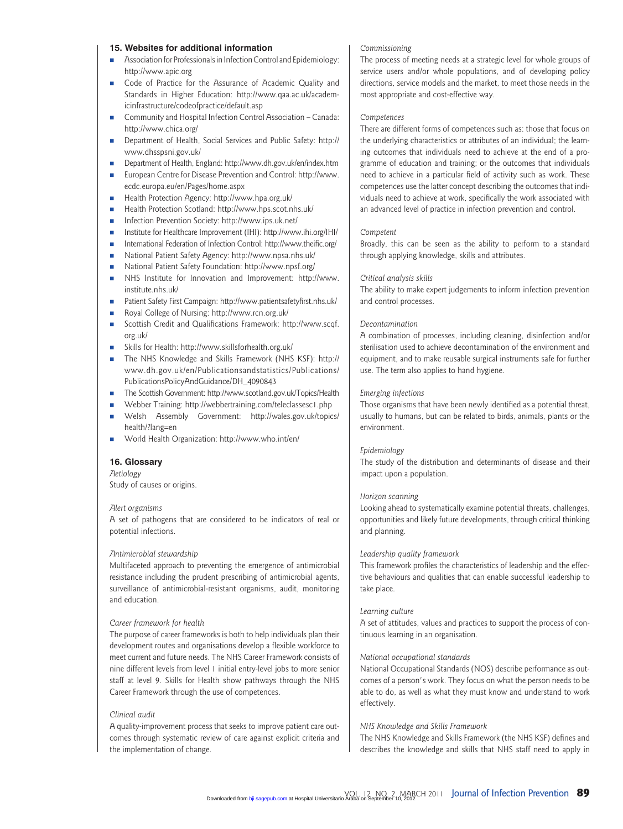#### **15. Websites for additional information**

- Association for Professionals in Infection Control and Epidemiology: http://www.apic.org
- Code of Practice for the Assurance of Academic Quality and Standards in Higher Education: http://www.qaa.ac.uk/academicinfrastructure/codeofpractice/default.asp
- Community and Hospital Infection Control Association Canada: http://www.chica.org/
- **Department of Health, Social Services and Public Safety: http://** www.dhsspsni.gov.uk/
- Department of Health, England: http://www.dh.gov.uk/en/index.htm
- European Centre for Disease Prevention and Control: http://www. ecdc.europa.eu/en/Pages/home.aspx
- Health Protection Agency: http://www.hpa.org.uk/
- Health Protection Scotland: http://www.hps.scot.nhs.uk/
- Infection Prevention Society: http://www.ips.uk.net/
- Institute for Healthcare Improvement (IHI): http://www.ihi.org/IHI/
- International Federation of Infection Control: http://www.theific.org/
- National Patient Safety Agency: http://www.npsa.nhs.uk/
- National Patient Safety Foundation: http://www.npsf.org/
- NHS Institute for Innovation and Improvement: http://www. institute.nhs.uk/
- Patient Safety First Campaign: http://www.patientsafetyfirst.nhs.uk/
- Royal College of Nursing: http://www.rcn.org.uk/
- Scottish Credit and Qualifications Framework: http://www.scqf. org.uk/
- Skills for Health: http://www.skillsforhealth.org.uk/
- The NHS Knowledge and Skills Framework (NHS KSF): http:// www.dh.gov.uk/en/Publicationsandstatistics/Publications/ PublicationsPolicyAndGuidance/DH\_4090843
- The Scottish Government: http://www.scotland.gov.uk/Topics/Health
- Webber Training: http://webbertraining.com/teleclassesc1.php
- Welsh Assembly Government: http://wales.gov.uk/topics/ health/?lang=en
- World Health Organization: http://www.who.int/en/

#### **16. Glossary**

*Aetiology* Study of causes or origins.

#### *Alert organisms*

A set of pathogens that are considered to be indicators of real or potential infections.

#### *Antimicrobial stewardship*

Multifaceted approach to preventing the emergence of antimicrobial resistance including the prudent prescribing of antimicrobial agents, surveillance of antimicrobial-resistant organisms, audit, monitoring and education.

#### *Career framework for health*

The purpose of career frameworks is both to help individuals plan their development routes and organisations develop a flexible workforce to meet current and future needs. The NHS Career Framework consists of nine different levels from level 1 initial entry-level jobs to more senior staff at level 9. Skills for Health show pathways through the NHS Career Framework through the use of competences.

#### *Clinical audit*

A quality-improvement process that seeks to improve patient care outcomes through systematic review of care against explicit criteria and the implementation of change.

#### *Commissioning*

The process of meeting needs at a strategic level for whole groups of service users and/or whole populations, and of developing policy directions, service models and the market, to meet those needs in the most appropriate and cost-effective way.

#### *Competences*

There are different forms of competences such as: those that focus on the underlying characteristics or attributes of an individual; the learning outcomes that individuals need to achieve at the end of a programme of education and training; or the outcomes that individuals need to achieve in a particular field of activity such as work. These competences use the latter concept describing the outcomes that individuals need to achieve at work, specifically the work associated with an advanced level of practice in infection prevention and control.

#### *Competent*

Broadly, this can be seen as the ability to perform to a standard through applying knowledge, skills and attributes.

#### *Critical analysis skills*

The ability to make expert judgements to inform infection prevention and control processes.

#### *Decontamination*

A combination of processes, including cleaning, disinfection and/or sterilisation used to achieve decontamination of the environment and equipment, and to make reusable surgical instruments safe for further use. The term also applies to hand hygiene.

#### *Emerging infections*

Those organisms that have been newly identified as a potential threat, usually to humans, but can be related to birds, animals, plants or the environment.

#### *Epidemiology*

The study of the distribution and determinants of disease and their impact upon a population.

#### *Horizon scanning*

Looking ahead to systematically examine potential threats, challenges, opportunities and likely future developments, through critical thinking and planning.

#### *Leadership quality framework*

This framework profiles the characteristics of leadership and the effective behaviours and qualities that can enable successful leadership to take place.

#### *Learning culture*

A set of attitudes, values and practices to support the process of continuous learning in an organisation.

#### *National occupational standards*

National Occupational Standards (NOS) describe performance as outcomes of a person's work. They focus on what the person needs to be able to do, as well as what they must know and understand to work effectively.

#### *NHS Knowledge and Skills Framework*

The NHS Knowledge and Skills Framework (the NHS KSF) defines and describes the knowledge and skills that NHS staff need to apply in